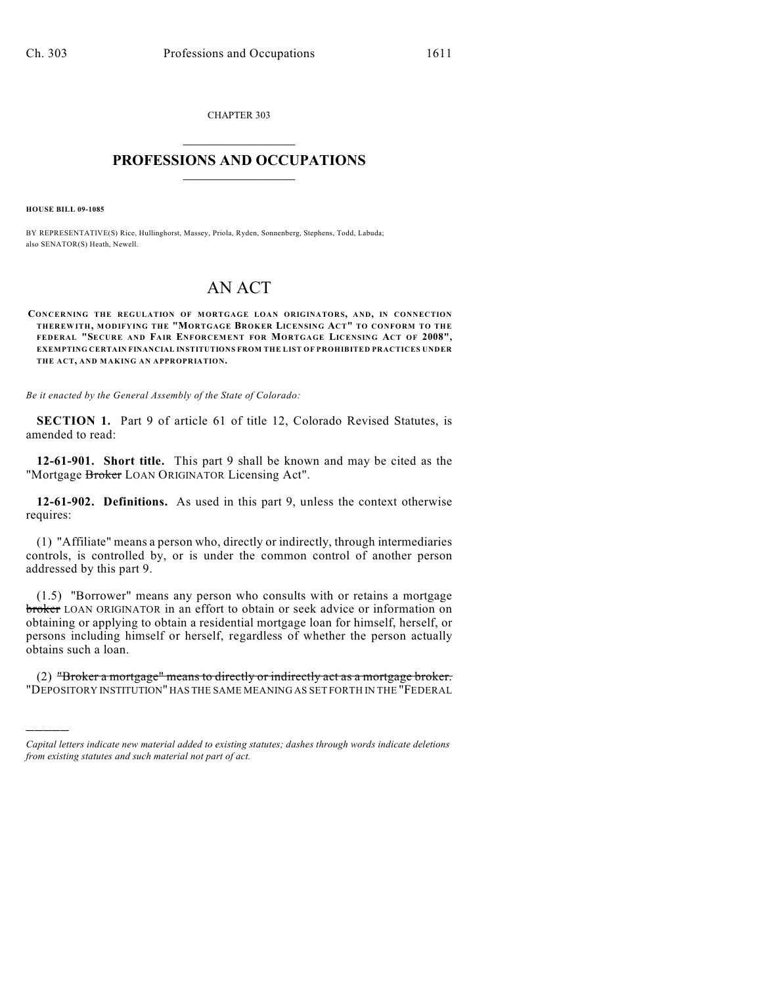CHAPTER 303  $\mathcal{L}_\text{max}$  . The set of the set of the set of the set of the set of the set of the set of the set of the set of the set of the set of the set of the set of the set of the set of the set of the set of the set of the set

## **PROFESSIONS AND OCCUPATIONS**  $\frac{1}{2}$  ,  $\frac{1}{2}$  ,  $\frac{1}{2}$  ,  $\frac{1}{2}$  ,  $\frac{1}{2}$  ,  $\frac{1}{2}$

**HOUSE BILL 09-1085**

)))))

BY REPRESENTATIVE(S) Rice, Hullinghorst, Massey, Priola, Ryden, Sonnenberg, Stephens, Todd, Labuda; also SENATOR(S) Heath, Newell.

## AN ACT

## **CONCERNING THE REGULATION OF MORTGAGE LOAN ORIGINATORS, AND, IN CONNECTION THEREWITH, MODIFYING THE "MORTGAGE BROKER LICENSING ACT" TO CONFORM TO THE FEDERAL "SECURE AND FAIR ENFORCEMENT FOR MORTGAGE LICENSING ACT OF 2008", EXEMPTING CERTAIN FINANCIAL INSTITUTIONS FROM THE LIST OF PROHIBITED PRACTICES UNDER THE ACT, AND MAKING AN APPROPRIATION.**

*Be it enacted by the General Assembly of the State of Colorado:*

**SECTION 1.** Part 9 of article 61 of title 12, Colorado Revised Statutes, is amended to read:

**12-61-901. Short title.** This part 9 shall be known and may be cited as the "Mortgage Broker LOAN ORIGINATOR Licensing Act".

**12-61-902. Definitions.** As used in this part 9, unless the context otherwise requires:

(1) "Affiliate" means a person who, directly or indirectly, through intermediaries controls, is controlled by, or is under the common control of another person addressed by this part 9.

(1.5) "Borrower" means any person who consults with or retains a mortgage broker LOAN ORIGINATOR in an effort to obtain or seek advice or information on obtaining or applying to obtain a residential mortgage loan for himself, herself, or persons including himself or herself, regardless of whether the person actually obtains such a loan.

(2) "Broker a mortgage" means to directly or indirectly act as a mortgage broker. "DEPOSITORY INSTITUTION" HAS THE SAME MEANING AS SET FORTH IN THE "FEDERAL

*Capital letters indicate new material added to existing statutes; dashes through words indicate deletions from existing statutes and such material not part of act.*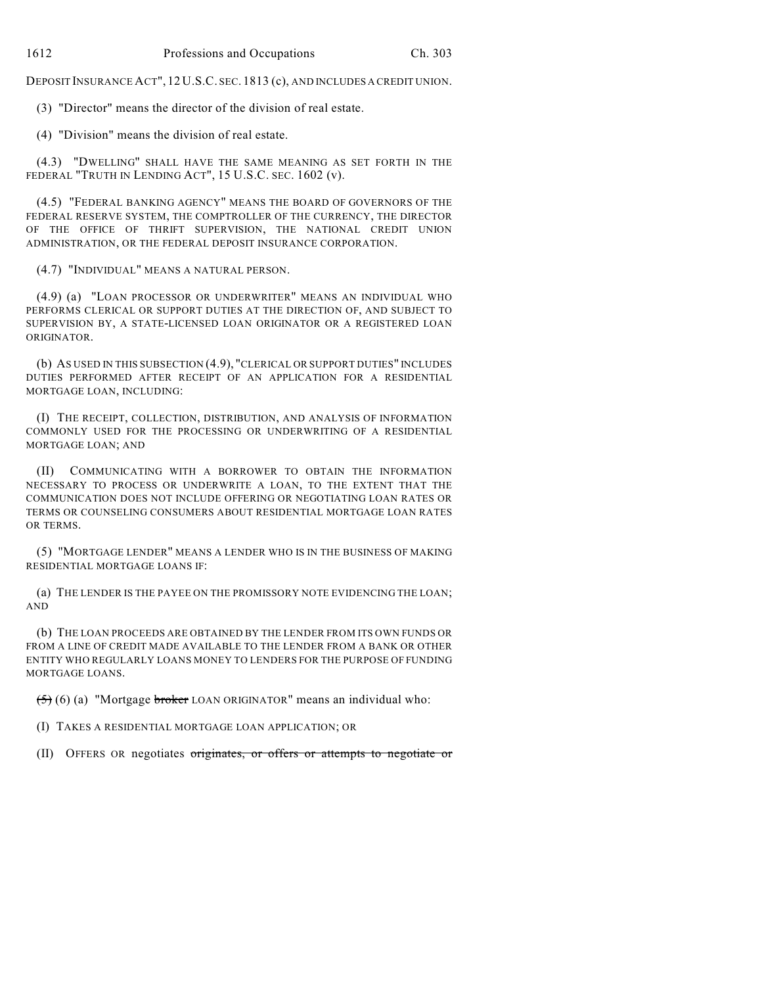DEPOSIT INSURANCE ACT", 12 U.S.C. SEC. 1813 (c), AND INCLUDES A CREDIT UNION.

(3) "Director" means the director of the division of real estate.

(4) "Division" means the division of real estate.

(4.3) "DWELLING" SHALL HAVE THE SAME MEANING AS SET FORTH IN THE FEDERAL "TRUTH IN LENDING ACT", 15 U.S.C. SEC. 1602 (v).

(4.5) "FEDERAL BANKING AGENCY" MEANS THE BOARD OF GOVERNORS OF THE FEDERAL RESERVE SYSTEM, THE COMPTROLLER OF THE CURRENCY, THE DIRECTOR OF THE OFFICE OF THRIFT SUPERVISION, THE NATIONAL CREDIT UNION ADMINISTRATION, OR THE FEDERAL DEPOSIT INSURANCE CORPORATION.

(4.7) "INDIVIDUAL" MEANS A NATURAL PERSON.

(4.9) (a) "LOAN PROCESSOR OR UNDERWRITER" MEANS AN INDIVIDUAL WHO PERFORMS CLERICAL OR SUPPORT DUTIES AT THE DIRECTION OF, AND SUBJECT TO SUPERVISION BY, A STATE-LICENSED LOAN ORIGINATOR OR A REGISTERED LOAN ORIGINATOR.

(b) AS USED IN THIS SUBSECTION (4.9), "CLERICAL OR SUPPORT DUTIES" INCLUDES DUTIES PERFORMED AFTER RECEIPT OF AN APPLICATION FOR A RESIDENTIAL MORTGAGE LOAN, INCLUDING:

(I) THE RECEIPT, COLLECTION, DISTRIBUTION, AND ANALYSIS OF INFORMATION COMMONLY USED FOR THE PROCESSING OR UNDERWRITING OF A RESIDENTIAL MORTGAGE LOAN; AND

(II) COMMUNICATING WITH A BORROWER TO OBTAIN THE INFORMATION NECESSARY TO PROCESS OR UNDERWRITE A LOAN, TO THE EXTENT THAT THE COMMUNICATION DOES NOT INCLUDE OFFERING OR NEGOTIATING LOAN RATES OR TERMS OR COUNSELING CONSUMERS ABOUT RESIDENTIAL MORTGAGE LOAN RATES OR TERMS.

(5) "MORTGAGE LENDER" MEANS A LENDER WHO IS IN THE BUSINESS OF MAKING RESIDENTIAL MORTGAGE LOANS IF:

(a) THE LENDER IS THE PAYEE ON THE PROMISSORY NOTE EVIDENCING THE LOAN; AND

(b) THE LOAN PROCEEDS ARE OBTAINED BY THE LENDER FROM ITS OWN FUNDS OR FROM A LINE OF CREDIT MADE AVAILABLE TO THE LENDER FROM A BANK OR OTHER ENTITY WHO REGULARLY LOANS MONEY TO LENDERS FOR THE PURPOSE OF FUNDING MORTGAGE LOANS.

 $(5)(6)$  (a) "Mortgage broker LOAN ORIGINATOR" means an individual who:

(I) TAKES A RESIDENTIAL MORTGAGE LOAN APPLICATION; OR

(II) OFFERS OR negotiates originates, or offers or attempts to negotiate or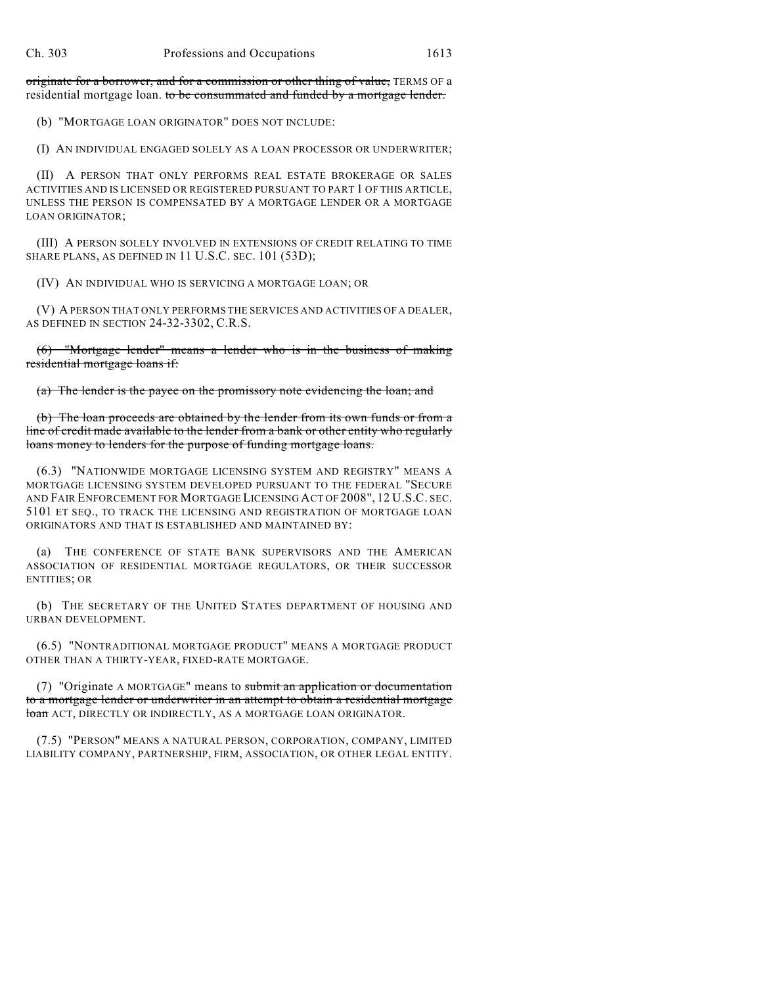originate for a borrower, and for a commission or other thing of value, TERMS OF a residential mortgage loan. to be consummated and funded by a mortgage lender.

(b) "MORTGAGE LOAN ORIGINATOR" DOES NOT INCLUDE:

(I) AN INDIVIDUAL ENGAGED SOLELY AS A LOAN PROCESSOR OR UNDERWRITER;

(II) A PERSON THAT ONLY PERFORMS REAL ESTATE BROKERAGE OR SALES ACTIVITIES AND IS LICENSED OR REGISTERED PURSUANT TO PART 1 OF THIS ARTICLE, UNLESS THE PERSON IS COMPENSATED BY A MORTGAGE LENDER OR A MORTGAGE LOAN ORIGINATOR;

(III) A PERSON SOLELY INVOLVED IN EXTENSIONS OF CREDIT RELATING TO TIME SHARE PLANS, AS DEFINED IN 11 U.S.C. SEC. 101 (53D);

(IV) AN INDIVIDUAL WHO IS SERVICING A MORTGAGE LOAN; OR

(V) A PERSON THAT ONLY PERFORMS THE SERVICES AND ACTIVITIES OF A DEALER, AS DEFINED IN SECTION 24-32-3302, C.R.S.

(6) "Mortgage lender" means a lender who is in the business of making residential mortgage loans if:

(a) The lender is the payee on the promissory note evidencing the loan; and

(b) The loan proceeds are obtained by the lender from its own funds or from a line of credit made available to the lender from a bank or other entity who regularly loans money to lenders for the purpose of funding mortgage loans.

(6.3) "NATIONWIDE MORTGAGE LICENSING SYSTEM AND REGISTRY" MEANS A MORTGAGE LICENSING SYSTEM DEVELOPED PURSUANT TO THE FEDERAL "SECURE AND FAIR ENFORCEMENT FOR MORTGAGE LICENSING ACT OF 2008", 12 U.S.C. SEC. 5101 ET SEQ., TO TRACK THE LICENSING AND REGISTRATION OF MORTGAGE LOAN ORIGINATORS AND THAT IS ESTABLISHED AND MAINTAINED BY:

(a) THE CONFERENCE OF STATE BANK SUPERVISORS AND THE AMERICAN ASSOCIATION OF RESIDENTIAL MORTGAGE REGULATORS, OR THEIR SUCCESSOR ENTITIES; OR

(b) THE SECRETARY OF THE UNITED STATES DEPARTMENT OF HOUSING AND URBAN DEVELOPMENT.

(6.5) "NONTRADITIONAL MORTGAGE PRODUCT" MEANS A MORTGAGE PRODUCT OTHER THAN A THIRTY-YEAR, FIXED-RATE MORTGAGE.

(7) "Originate A MORTGAGE" means to submit an application or documentation to a mortgage lender or underwriter in an attempt to obtain a residential mortgage loan ACT, DIRECTLY OR INDIRECTLY, AS A MORTGAGE LOAN ORIGINATOR.

(7.5) "PERSON" MEANS A NATURAL PERSON, CORPORATION, COMPANY, LIMITED LIABILITY COMPANY, PARTNERSHIP, FIRM, ASSOCIATION, OR OTHER LEGAL ENTITY.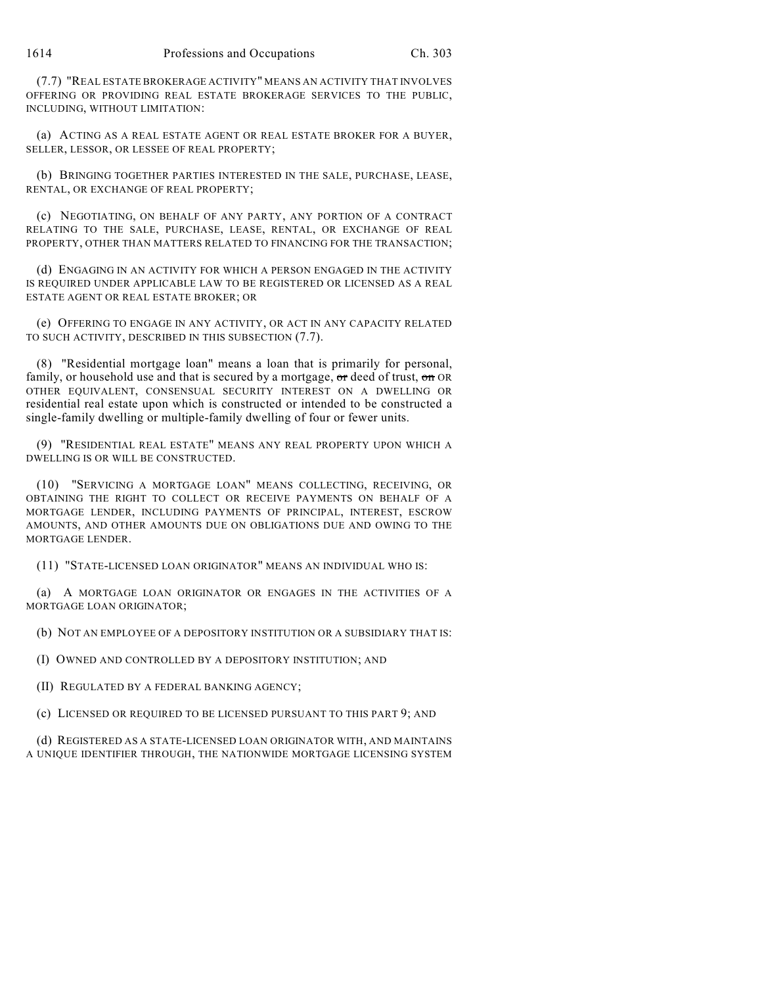(7.7) "REAL ESTATE BROKERAGE ACTIVITY" MEANS AN ACTIVITY THAT INVOLVES OFFERING OR PROVIDING REAL ESTATE BROKERAGE SERVICES TO THE PUBLIC, INCLUDING, WITHOUT LIMITATION:

(a) ACTING AS A REAL ESTATE AGENT OR REAL ESTATE BROKER FOR A BUYER, SELLER, LESSOR, OR LESSEE OF REAL PROPERTY;

(b) BRINGING TOGETHER PARTIES INTERESTED IN THE SALE, PURCHASE, LEASE, RENTAL, OR EXCHANGE OF REAL PROPERTY;

(c) NEGOTIATING, ON BEHALF OF ANY PARTY, ANY PORTION OF A CONTRACT RELATING TO THE SALE, PURCHASE, LEASE, RENTAL, OR EXCHANGE OF REAL PROPERTY, OTHER THAN MATTERS RELATED TO FINANCING FOR THE TRANSACTION;

(d) ENGAGING IN AN ACTIVITY FOR WHICH A PERSON ENGAGED IN THE ACTIVITY IS REQUIRED UNDER APPLICABLE LAW TO BE REGISTERED OR LICENSED AS A REAL ESTATE AGENT OR REAL ESTATE BROKER; OR

(e) OFFERING TO ENGAGE IN ANY ACTIVITY, OR ACT IN ANY CAPACITY RELATED TO SUCH ACTIVITY, DESCRIBED IN THIS SUBSECTION (7.7).

(8) "Residential mortgage loan" means a loan that is primarily for personal, family, or household use and that is secured by a mortgage,  $\sigma$ r deed of trust,  $\sigma$ n OR OTHER EQUIVALENT, CONSENSUAL SECURITY INTEREST ON A DWELLING OR residential real estate upon which is constructed or intended to be constructed a single-family dwelling or multiple-family dwelling of four or fewer units.

(9) "RESIDENTIAL REAL ESTATE" MEANS ANY REAL PROPERTY UPON WHICH A DWELLING IS OR WILL BE CONSTRUCTED.

(10) "SERVICING A MORTGAGE LOAN" MEANS COLLECTING, RECEIVING, OR OBTAINING THE RIGHT TO COLLECT OR RECEIVE PAYMENTS ON BEHALF OF A MORTGAGE LENDER, INCLUDING PAYMENTS OF PRINCIPAL, INTEREST, ESCROW AMOUNTS, AND OTHER AMOUNTS DUE ON OBLIGATIONS DUE AND OWING TO THE MORTGAGE LENDER.

(11) "STATE-LICENSED LOAN ORIGINATOR" MEANS AN INDIVIDUAL WHO IS:

(a) A MORTGAGE LOAN ORIGINATOR OR ENGAGES IN THE ACTIVITIES OF A MORTGAGE LOAN ORIGINATOR;

(b) NOT AN EMPLOYEE OF A DEPOSITORY INSTITUTION OR A SUBSIDIARY THAT IS:

(I) OWNED AND CONTROLLED BY A DEPOSITORY INSTITUTION; AND

(II) REGULATED BY A FEDERAL BANKING AGENCY;

(c) LICENSED OR REQUIRED TO BE LICENSED PURSUANT TO THIS PART 9; AND

(d) REGISTERED AS A STATE-LICENSED LOAN ORIGINATOR WITH, AND MAINTAINS A UNIQUE IDENTIFIER THROUGH, THE NATIONWIDE MORTGAGE LICENSING SYSTEM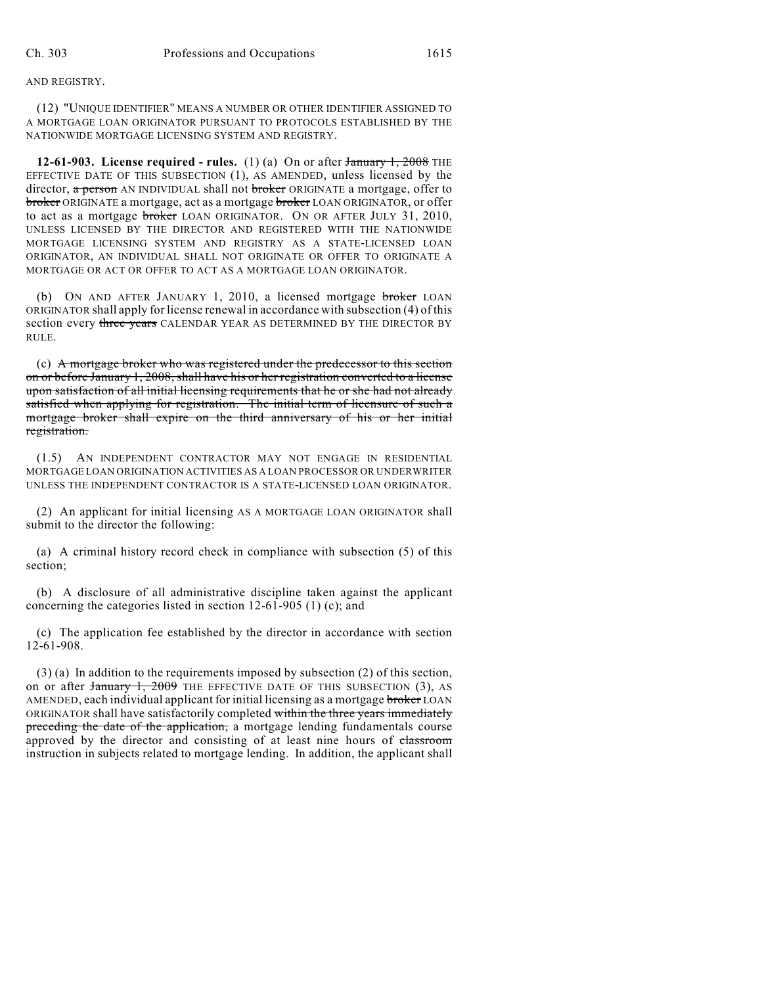AND REGISTRY.

(12) "UNIQUE IDENTIFIER" MEANS A NUMBER OR OTHER IDENTIFIER ASSIGNED TO A MORTGAGE LOAN ORIGINATOR PURSUANT TO PROTOCOLS ESTABLISHED BY THE NATIONWIDE MORTGAGE LICENSING SYSTEM AND REGISTRY.

**12-61-903. License required - rules.** (1) (a) On or after **January 1, 2008** THE EFFECTIVE DATE OF THIS SUBSECTION (1), AS AMENDED, unless licensed by the director, a person AN INDIVIDUAL shall not broker ORIGINATE a mortgage, offer to broker ORIGINATE a mortgage, act as a mortgage broker LOAN ORIGINATOR, or offer to act as a mortgage broker LOAN ORIGINATOR. ON OR AFTER JULY 31, 2010, UNLESS LICENSED BY THE DIRECTOR AND REGISTERED WITH THE NATIONWIDE MORTGAGE LICENSING SYSTEM AND REGISTRY AS A STATE-LICENSED LOAN ORIGINATOR, AN INDIVIDUAL SHALL NOT ORIGINATE OR OFFER TO ORIGINATE A MORTGAGE OR ACT OR OFFER TO ACT AS A MORTGAGE LOAN ORIGINATOR.

(b) ON AND AFTER JANUARY 1, 2010, a licensed mortgage broker LOAN ORIGINATOR shall apply for license renewal in accordance with subsection (4) of this section every three years CALENDAR YEAR AS DETERMINED BY THE DIRECTOR BY RULE.

(c) A mortgage broker who was registered under the predecessor to this section on or before January 1, 2008, shall have his or her registration converted to a license upon satisfaction of all initial licensing requirements that he or she had not already satisfied when applying for registration. The initial term of licensure of such a mortgage broker shall expire on the third anniversary of his or her initial registration.

(1.5) AN INDEPENDENT CONTRACTOR MAY NOT ENGAGE IN RESIDENTIAL MORTGAGE LOAN ORIGINATION ACTIVITIES AS A LOAN PROCESSOR OR UNDERWRITER UNLESS THE INDEPENDENT CONTRACTOR IS A STATE-LICENSED LOAN ORIGINATOR.

(2) An applicant for initial licensing AS A MORTGAGE LOAN ORIGINATOR shall submit to the director the following:

(a) A criminal history record check in compliance with subsection (5) of this section;

(b) A disclosure of all administrative discipline taken against the applicant concerning the categories listed in section 12-61-905 (1) (c); and

(c) The application fee established by the director in accordance with section 12-61-908.

(3) (a) In addition to the requirements imposed by subsection (2) of this section, on or after  $\frac{1}{2009}$  The Effective DATE OF THIS SUBSECTION (3), AS AMENDED, each individual applicant for initial licensing as a mortgage broker LOAN ORIGINATOR shall have satisfactorily completed within the three years immediately preceding the date of the application, a mortgage lending fundamentals course approved by the director and consisting of at least nine hours of classroom instruction in subjects related to mortgage lending. In addition, the applicant shall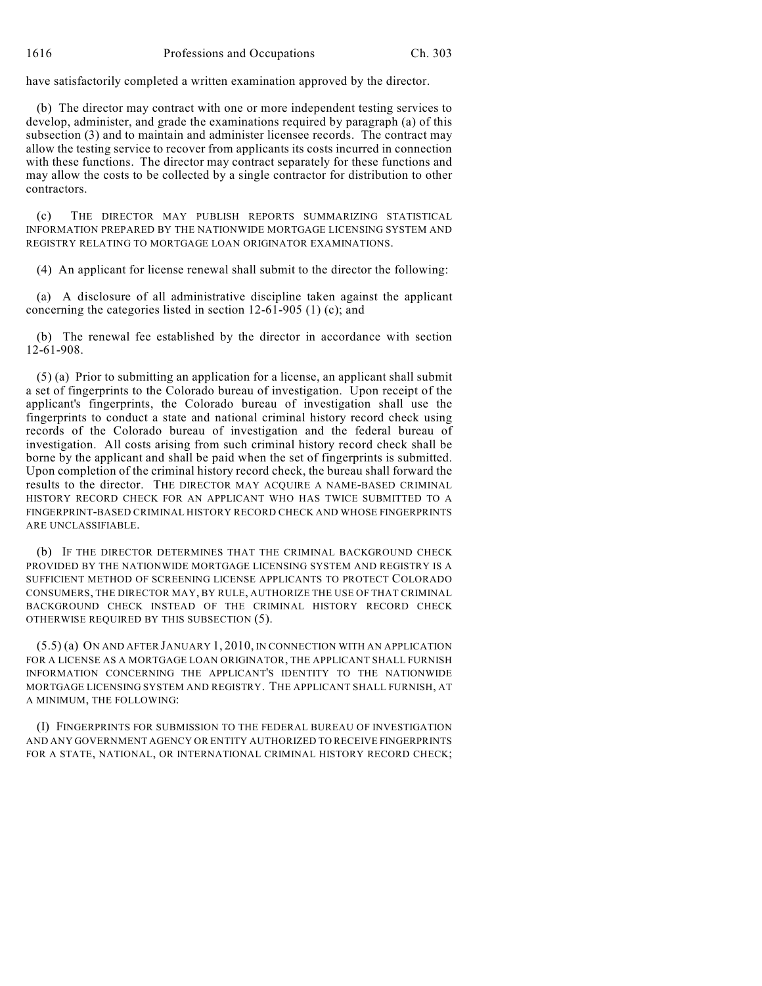have satisfactorily completed a written examination approved by the director.

(b) The director may contract with one or more independent testing services to develop, administer, and grade the examinations required by paragraph (a) of this subsection (3) and to maintain and administer licensee records. The contract may allow the testing service to recover from applicants its costs incurred in connection with these functions. The director may contract separately for these functions and may allow the costs to be collected by a single contractor for distribution to other contractors.

(c) THE DIRECTOR MAY PUBLISH REPORTS SUMMARIZING STATISTICAL INFORMATION PREPARED BY THE NATIONWIDE MORTGAGE LICENSING SYSTEM AND REGISTRY RELATING TO MORTGAGE LOAN ORIGINATOR EXAMINATIONS.

(4) An applicant for license renewal shall submit to the director the following:

(a) A disclosure of all administrative discipline taken against the applicant concerning the categories listed in section 12-61-905 (1) (c); and

(b) The renewal fee established by the director in accordance with section 12-61-908.

(5) (a) Prior to submitting an application for a license, an applicant shall submit a set of fingerprints to the Colorado bureau of investigation. Upon receipt of the applicant's fingerprints, the Colorado bureau of investigation shall use the fingerprints to conduct a state and national criminal history record check using records of the Colorado bureau of investigation and the federal bureau of investigation. All costs arising from such criminal history record check shall be borne by the applicant and shall be paid when the set of fingerprints is submitted. Upon completion of the criminal history record check, the bureau shall forward the results to the director. THE DIRECTOR MAY ACQUIRE A NAME-BASED CRIMINAL HISTORY RECORD CHECK FOR AN APPLICANT WHO HAS TWICE SUBMITTED TO A FINGERPRINT-BASED CRIMINAL HISTORY RECORD CHECK AND WHOSE FINGERPRINTS ARE UNCLASSIFIABLE.

(b) IF THE DIRECTOR DETERMINES THAT THE CRIMINAL BACKGROUND CHECK PROVIDED BY THE NATIONWIDE MORTGAGE LICENSING SYSTEM AND REGISTRY IS A SUFFICIENT METHOD OF SCREENING LICENSE APPLICANTS TO PROTECT COLORADO CONSUMERS, THE DIRECTOR MAY, BY RULE, AUTHORIZE THE USE OF THAT CRIMINAL BACKGROUND CHECK INSTEAD OF THE CRIMINAL HISTORY RECORD CHECK OTHERWISE REQUIRED BY THIS SUBSECTION (5).

(5.5) (a) ON AND AFTER JANUARY 1, 2010, IN CONNECTION WITH AN APPLICATION FOR A LICENSE AS A MORTGAGE LOAN ORIGINATOR, THE APPLICANT SHALL FURNISH INFORMATION CONCERNING THE APPLICANT'S IDENTITY TO THE NATIONWIDE MORTGAGE LICENSING SYSTEM AND REGISTRY. THE APPLICANT SHALL FURNISH, AT A MINIMUM, THE FOLLOWING:

(I) FINGERPRINTS FOR SUBMISSION TO THE FEDERAL BUREAU OF INVESTIGATION AND ANY GOVERNMENT AGENCY OR ENTITY AUTHORIZED TO RECEIVE FINGERPRINTS FOR A STATE, NATIONAL, OR INTERNATIONAL CRIMINAL HISTORY RECORD CHECK;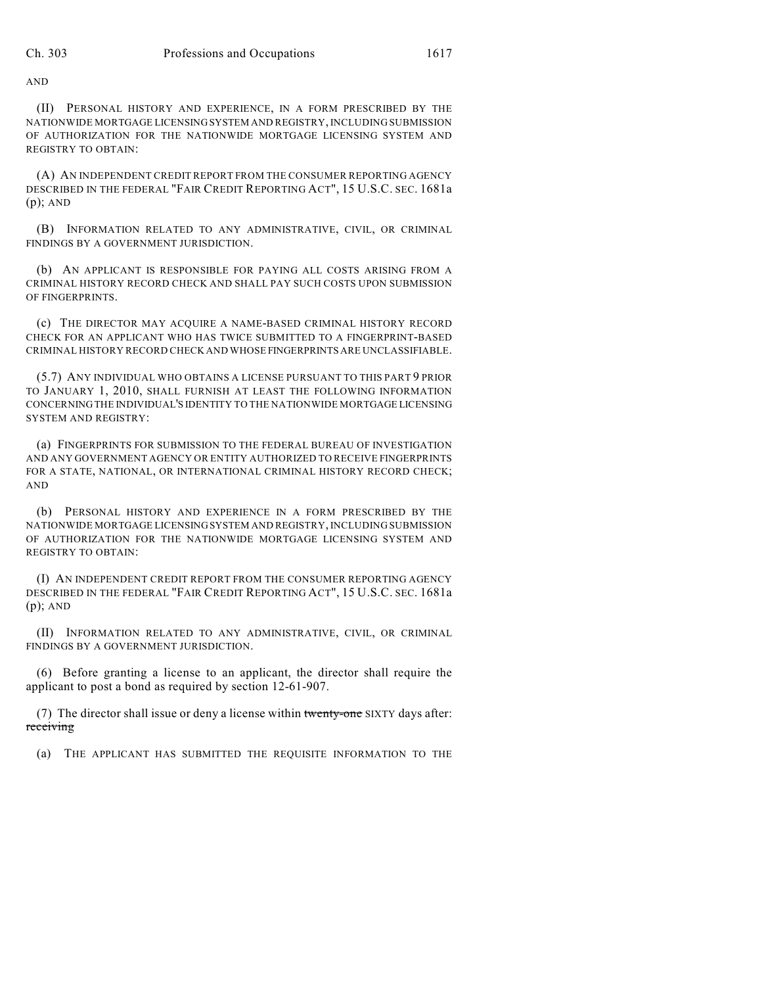AND

(II) PERSONAL HISTORY AND EXPERIENCE, IN A FORM PRESCRIBED BY THE NATIONWIDE MORTGAGE LICENSING SYSTEM AND REGISTRY, INCLUDING SUBMISSION OF AUTHORIZATION FOR THE NATIONWIDE MORTGAGE LICENSING SYSTEM AND REGISTRY TO OBTAIN:

(A) AN INDEPENDENT CREDIT REPORT FROM THE CONSUMER REPORTING AGENCY DESCRIBED IN THE FEDERAL "FAIR CREDIT REPORTING ACT", 15 U.S.C. SEC. 1681a (p); AND

(B) INFORMATION RELATED TO ANY ADMINISTRATIVE, CIVIL, OR CRIMINAL FINDINGS BY A GOVERNMENT JURISDICTION.

(b) AN APPLICANT IS RESPONSIBLE FOR PAYING ALL COSTS ARISING FROM A CRIMINAL HISTORY RECORD CHECK AND SHALL PAY SUCH COSTS UPON SUBMISSION OF FINGERPRINTS.

(c) THE DIRECTOR MAY ACQUIRE A NAME-BASED CRIMINAL HISTORY RECORD CHECK FOR AN APPLICANT WHO HAS TWICE SUBMITTED TO A FINGERPRINT-BASED CRIMINAL HISTORY RECORD CHECK AND WHOSE FINGERPRINTS ARE UNCLASSIFIABLE.

(5.7) ANY INDIVIDUAL WHO OBTAINS A LICENSE PURSUANT TO THIS PART 9 PRIOR TO JANUARY 1, 2010, SHALL FURNISH AT LEAST THE FOLLOWING INFORMATION CONCERNING THE INDIVIDUAL'S IDENTITY TO THE NATIONWIDE MORTGAGE LICENSING SYSTEM AND REGISTRY:

(a) FINGERPRINTS FOR SUBMISSION TO THE FEDERAL BUREAU OF INVESTIGATION AND ANY GOVERNMENT AGENCY OR ENTITY AUTHORIZED TO RECEIVE FINGERPRINTS FOR A STATE, NATIONAL, OR INTERNATIONAL CRIMINAL HISTORY RECORD CHECK; AND

(b) PERSONAL HISTORY AND EXPERIENCE IN A FORM PRESCRIBED BY THE NATIONWIDE MORTGAGE LICENSING SYSTEM AND REGISTRY, INCLUDING SUBMISSION OF AUTHORIZATION FOR THE NATIONWIDE MORTGAGE LICENSING SYSTEM AND REGISTRY TO OBTAIN:

(I) AN INDEPENDENT CREDIT REPORT FROM THE CONSUMER REPORTING AGENCY DESCRIBED IN THE FEDERAL "FAIR CREDIT REPORTING ACT", 15 U.S.C. SEC. 1681a (p); AND

(II) INFORMATION RELATED TO ANY ADMINISTRATIVE, CIVIL, OR CRIMINAL FINDINGS BY A GOVERNMENT JURISDICTION.

(6) Before granting a license to an applicant, the director shall require the applicant to post a bond as required by section 12-61-907.

(7) The director shall issue or deny a license within twenty-one SIXTY days after: receiving

(a) THE APPLICANT HAS SUBMITTED THE REQUISITE INFORMATION TO THE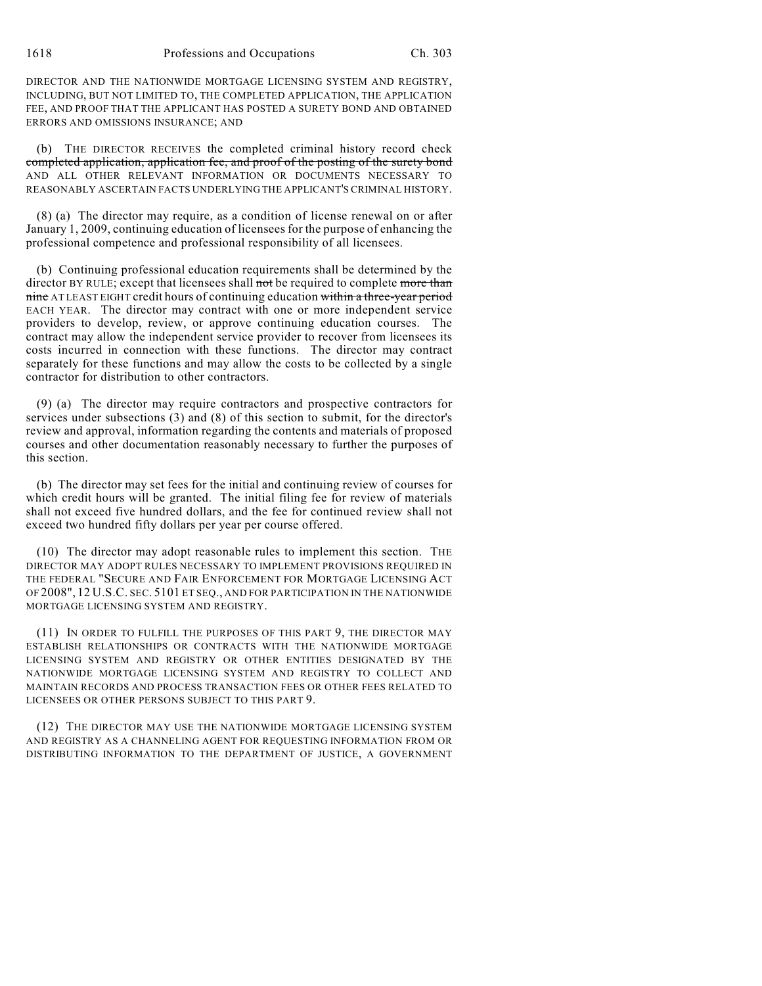DIRECTOR AND THE NATIONWIDE MORTGAGE LICENSING SYSTEM AND REGISTRY, INCLUDING, BUT NOT LIMITED TO, THE COMPLETED APPLICATION, THE APPLICATION FEE, AND PROOF THAT THE APPLICANT HAS POSTED A SURETY BOND AND OBTAINED ERRORS AND OMISSIONS INSURANCE; AND

(b) THE DIRECTOR RECEIVES the completed criminal history record check completed application, application fee, and proof of the posting of the surety bond AND ALL OTHER RELEVANT INFORMATION OR DOCUMENTS NECESSARY TO REASONABLY ASCERTAIN FACTS UNDERLYING THE APPLICANT'S CRIMINAL HISTORY.

(8) (a) The director may require, as a condition of license renewal on or after January 1, 2009, continuing education of licensees for the purpose of enhancing the professional competence and professional responsibility of all licensees.

(b) Continuing professional education requirements shall be determined by the director BY RULE; except that licensees shall not be required to complete more than nine AT LEAST EIGHT credit hours of continuing education within a three-year period EACH YEAR. The director may contract with one or more independent service providers to develop, review, or approve continuing education courses. The contract may allow the independent service provider to recover from licensees its costs incurred in connection with these functions. The director may contract separately for these functions and may allow the costs to be collected by a single contractor for distribution to other contractors.

(9) (a) The director may require contractors and prospective contractors for services under subsections (3) and (8) of this section to submit, for the director's review and approval, information regarding the contents and materials of proposed courses and other documentation reasonably necessary to further the purposes of this section.

(b) The director may set fees for the initial and continuing review of courses for which credit hours will be granted. The initial filing fee for review of materials shall not exceed five hundred dollars, and the fee for continued review shall not exceed two hundred fifty dollars per year per course offered.

(10) The director may adopt reasonable rules to implement this section. THE DIRECTOR MAY ADOPT RULES NECESSARY TO IMPLEMENT PROVISIONS REQUIRED IN THE FEDERAL "SECURE AND FAIR ENFORCEMENT FOR MORTGAGE LICENSING ACT OF 2008", 12 U.S.C. SEC. 5101 ET SEQ., AND FOR PARTICIPATION IN THE NATIONWIDE MORTGAGE LICENSING SYSTEM AND REGISTRY.

(11) IN ORDER TO FULFILL THE PURPOSES OF THIS PART 9, THE DIRECTOR MAY ESTABLISH RELATIONSHIPS OR CONTRACTS WITH THE NATIONWIDE MORTGAGE LICENSING SYSTEM AND REGISTRY OR OTHER ENTITIES DESIGNATED BY THE NATIONWIDE MORTGAGE LICENSING SYSTEM AND REGISTRY TO COLLECT AND MAINTAIN RECORDS AND PROCESS TRANSACTION FEES OR OTHER FEES RELATED TO LICENSEES OR OTHER PERSONS SUBJECT TO THIS PART 9.

(12) THE DIRECTOR MAY USE THE NATIONWIDE MORTGAGE LICENSING SYSTEM AND REGISTRY AS A CHANNELING AGENT FOR REQUESTING INFORMATION FROM OR DISTRIBUTING INFORMATION TO THE DEPARTMENT OF JUSTICE, A GOVERNMENT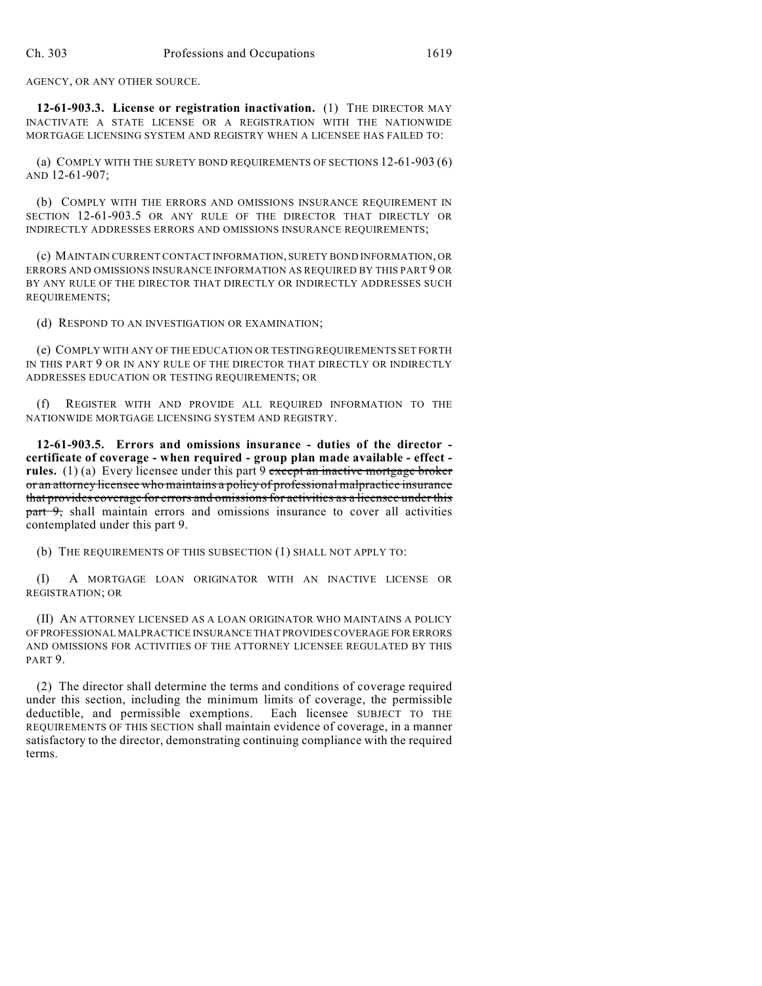AGENCY, OR ANY OTHER SOURCE.

**12-61-903.3. License or registration inactivation.** (1) THE DIRECTOR MAY INACTIVATE A STATE LICENSE OR A REGISTRATION WITH THE NATIONWIDE MORTGAGE LICENSING SYSTEM AND REGISTRY WHEN A LICENSEE HAS FAILED TO:

(a) COMPLY WITH THE SURETY BOND REQUIREMENTS OF SECTIONS 12-61-903 (6) AND 12-61-907;

(b) COMPLY WITH THE ERRORS AND OMISSIONS INSURANCE REQUIREMENT IN SECTION 12-61-903.5 OR ANY RULE OF THE DIRECTOR THAT DIRECTLY OR INDIRECTLY ADDRESSES ERRORS AND OMISSIONS INSURANCE REQUIREMENTS;

(c) MAINTAIN CURRENT CONTACT INFORMATION, SURETY BOND INFORMATION, OR ERRORS AND OMISSIONS INSURANCE INFORMATION AS REQUIRED BY THIS PART 9 OR BY ANY RULE OF THE DIRECTOR THAT DIRECTLY OR INDIRECTLY ADDRESSES SUCH REQUIREMENTS;

(d) RESPOND TO AN INVESTIGATION OR EXAMINATION;

(e) COMPLY WITH ANY OF THE EDUCATION OR TESTING REQUIREMENTS SET FORTH IN THIS PART 9 OR IN ANY RULE OF THE DIRECTOR THAT DIRECTLY OR INDIRECTLY ADDRESSES EDUCATION OR TESTING REQUIREMENTS; OR

(f) REGISTER WITH AND PROVIDE ALL REQUIRED INFORMATION TO THE NATIONWIDE MORTGAGE LICENSING SYSTEM AND REGISTRY.

**12-61-903.5. Errors and omissions insurance - duties of the director certificate of coverage - when required - group plan made available - effect rules.** (1) (a) Every licensee under this part 9 except an inactive mortgage broker or an attorney licensee who maintains a policy of professional malpractice insurance that provides coverage for errors and omissions for activities as a licensee under this part 9, shall maintain errors and omissions insurance to cover all activities contemplated under this part 9.

(b) THE REQUIREMENTS OF THIS SUBSECTION (1) SHALL NOT APPLY TO:

(I) A MORTGAGE LOAN ORIGINATOR WITH AN INACTIVE LICENSE OR REGISTRATION; OR

(II) AN ATTORNEY LICENSED AS A LOAN ORIGINATOR WHO MAINTAINS A POLICY OF PROFESSIONAL MALPRACTICE INSURANCE THAT PROVIDES COVERAGE FOR ERRORS AND OMISSIONS FOR ACTIVITIES OF THE ATTORNEY LICENSEE REGULATED BY THIS PART 9.

(2) The director shall determine the terms and conditions of coverage required under this section, including the minimum limits of coverage, the permissible deductible, and permissible exemptions. Each licensee SUBJECT TO THE REQUIREMENTS OF THIS SECTION shall maintain evidence of coverage, in a manner satisfactory to the director, demonstrating continuing compliance with the required terms.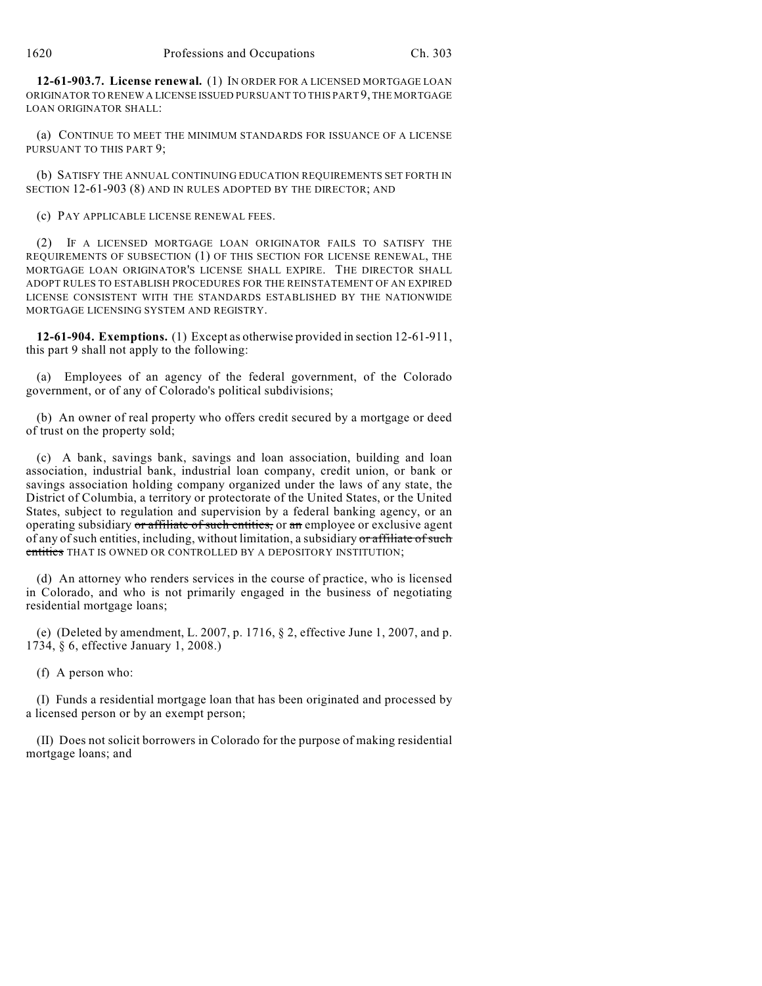**12-61-903.7. License renewal.** (1) IN ORDER FOR A LICENSED MORTGAGE LOAN ORIGINATOR TO RENEW A LICENSE ISSUED PURSUANT TO THIS PART 9, THE MORTGAGE LOAN ORIGINATOR SHALL:

(a) CONTINUE TO MEET THE MINIMUM STANDARDS FOR ISSUANCE OF A LICENSE PURSUANT TO THIS PART 9;

(b) SATISFY THE ANNUAL CONTINUING EDUCATION REQUIREMENTS SET FORTH IN SECTION 12-61-903 (8) AND IN RULES ADOPTED BY THE DIRECTOR; AND

(c) PAY APPLICABLE LICENSE RENEWAL FEES.

(2) IF A LICENSED MORTGAGE LOAN ORIGINATOR FAILS TO SATISFY THE REQUIREMENTS OF SUBSECTION (1) OF THIS SECTION FOR LICENSE RENEWAL, THE MORTGAGE LOAN ORIGINATOR'S LICENSE SHALL EXPIRE. THE DIRECTOR SHALL ADOPT RULES TO ESTABLISH PROCEDURES FOR THE REINSTATEMENT OF AN EXPIRED LICENSE CONSISTENT WITH THE STANDARDS ESTABLISHED BY THE NATIONWIDE MORTGAGE LICENSING SYSTEM AND REGISTRY.

**12-61-904. Exemptions.** (1) Except as otherwise provided in section 12-61-911, this part 9 shall not apply to the following:

(a) Employees of an agency of the federal government, of the Colorado government, or of any of Colorado's political subdivisions;

(b) An owner of real property who offers credit secured by a mortgage or deed of trust on the property sold;

(c) A bank, savings bank, savings and loan association, building and loan association, industrial bank, industrial loan company, credit union, or bank or savings association holding company organized under the laws of any state, the District of Columbia, a territory or protectorate of the United States, or the United States, subject to regulation and supervision by a federal banking agency, or an operating subsidiary or affiliate of such entities, or an employee or exclusive agent of any of such entities, including, without limitation, a subsidiary or affiliate of such entities THAT IS OWNED OR CONTROLLED BY A DEPOSITORY INSTITUTION;

(d) An attorney who renders services in the course of practice, who is licensed in Colorado, and who is not primarily engaged in the business of negotiating residential mortgage loans;

(e) (Deleted by amendment, L. 2007, p. 1716, § 2, effective June 1, 2007, and p. 1734, § 6, effective January 1, 2008.)

(f) A person who:

(I) Funds a residential mortgage loan that has been originated and processed by a licensed person or by an exempt person;

(II) Does not solicit borrowers in Colorado for the purpose of making residential mortgage loans; and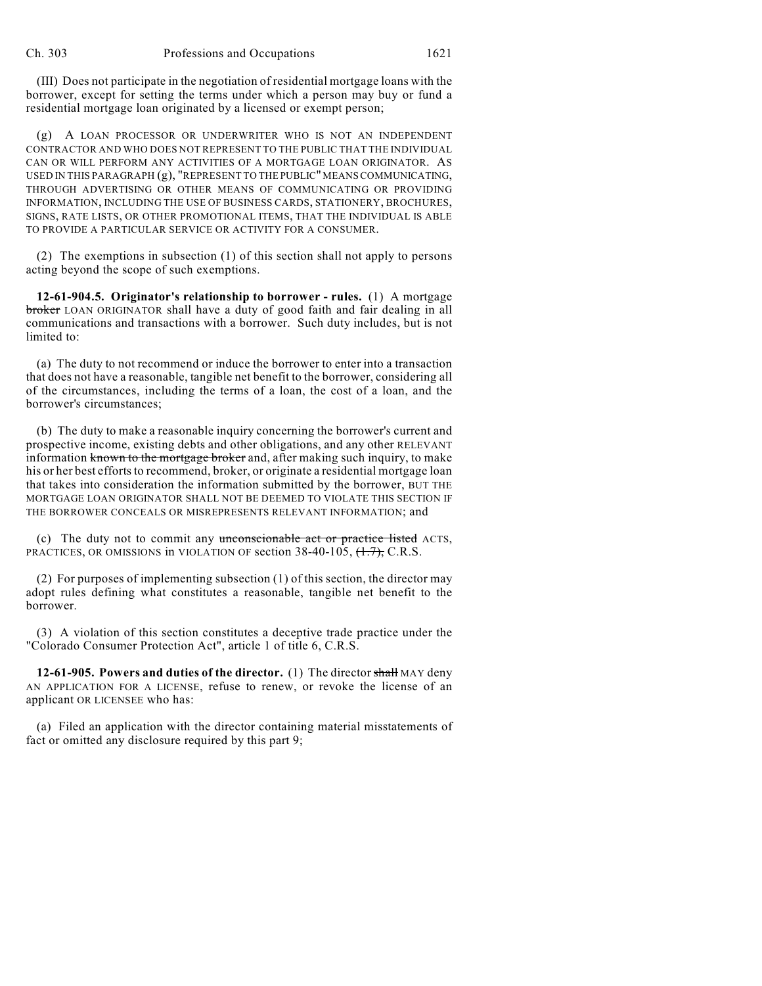(III) Does not participate in the negotiation of residential mortgage loans with the borrower, except for setting the terms under which a person may buy or fund a residential mortgage loan originated by a licensed or exempt person;

(g) A LOAN PROCESSOR OR UNDERWRITER WHO IS NOT AN INDEPENDENT CONTRACTOR AND WHO DOES NOT REPRESENT TO THE PUBLIC THAT THE INDIVIDUAL CAN OR WILL PERFORM ANY ACTIVITIES OF A MORTGAGE LOAN ORIGINATOR. AS USED IN THIS PARAGRAPH (g), "REPRESENT TO THE PUBLIC" MEANS COMMUNICATING, THROUGH ADVERTISING OR OTHER MEANS OF COMMUNICATING OR PROVIDING INFORMATION, INCLUDING THE USE OF BUSINESS CARDS, STATIONERY, BROCHURES, SIGNS, RATE LISTS, OR OTHER PROMOTIONAL ITEMS, THAT THE INDIVIDUAL IS ABLE TO PROVIDE A PARTICULAR SERVICE OR ACTIVITY FOR A CONSUMER.

(2) The exemptions in subsection (1) of this section shall not apply to persons acting beyond the scope of such exemptions.

**12-61-904.5. Originator's relationship to borrower - rules.** (1) A mortgage broker LOAN ORIGINATOR shall have a duty of good faith and fair dealing in all communications and transactions with a borrower. Such duty includes, but is not limited to:

(a) The duty to not recommend or induce the borrower to enter into a transaction that does not have a reasonable, tangible net benefit to the borrower, considering all of the circumstances, including the terms of a loan, the cost of a loan, and the borrower's circumstances;

(b) The duty to make a reasonable inquiry concerning the borrower's current and prospective income, existing debts and other obligations, and any other RELEVANT information known to the mortgage broker and, after making such inquiry, to make his or her best efforts to recommend, broker, or originate a residential mortgage loan that takes into consideration the information submitted by the borrower, BUT THE MORTGAGE LOAN ORIGINATOR SHALL NOT BE DEEMED TO VIOLATE THIS SECTION IF THE BORROWER CONCEALS OR MISREPRESENTS RELEVANT INFORMATION; and

(c) The duty not to commit any unconscionable act or practice listed ACTS, PRACTICES, OR OMISSIONS in VIOLATION OF section  $38-40-105$ ,  $(\pm .7)$ , C.R.S.

(2) For purposes of implementing subsection (1) of this section, the director may adopt rules defining what constitutes a reasonable, tangible net benefit to the borrower.

(3) A violation of this section constitutes a deceptive trade practice under the "Colorado Consumer Protection Act", article 1 of title 6, C.R.S.

**12-61-905. Powers and duties of the director.** (1) The director shall MAY deny AN APPLICATION FOR A LICENSE, refuse to renew, or revoke the license of an applicant OR LICENSEE who has:

(a) Filed an application with the director containing material misstatements of fact or omitted any disclosure required by this part 9;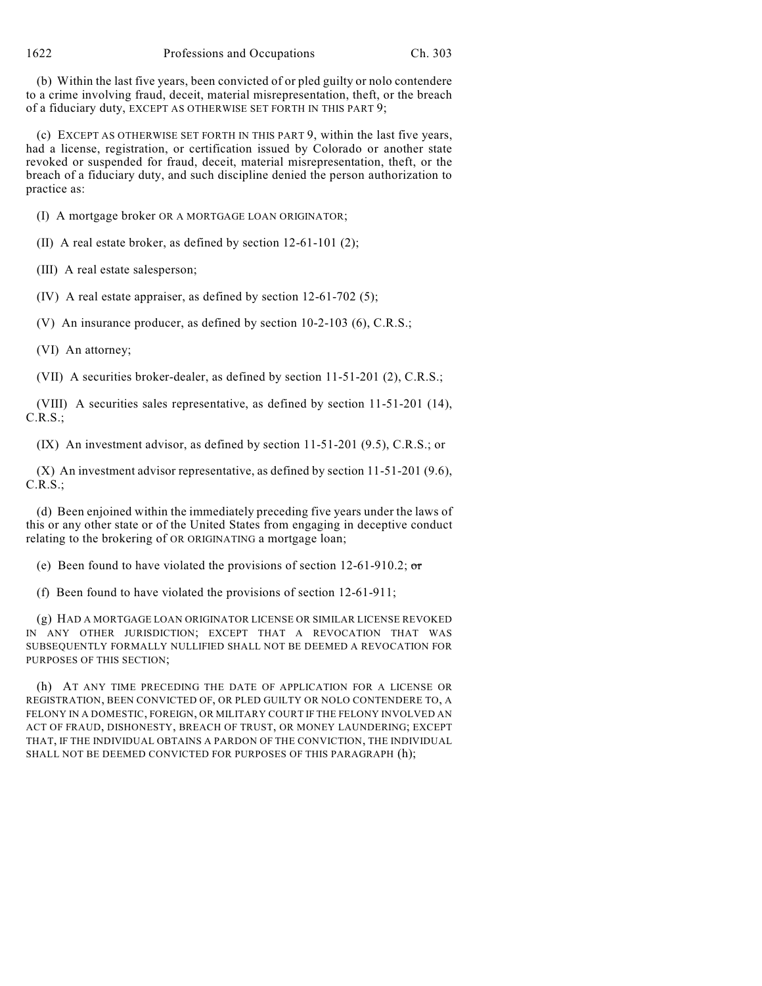(b) Within the last five years, been convicted of or pled guilty or nolo contendere to a crime involving fraud, deceit, material misrepresentation, theft, or the breach of a fiduciary duty, EXCEPT AS OTHERWISE SET FORTH IN THIS PART 9;

(c) EXCEPT AS OTHERWISE SET FORTH IN THIS PART 9, within the last five years, had a license, registration, or certification issued by Colorado or another state revoked or suspended for fraud, deceit, material misrepresentation, theft, or the breach of a fiduciary duty, and such discipline denied the person authorization to practice as:

(I) A mortgage broker OR A MORTGAGE LOAN ORIGINATOR;

(II) A real estate broker, as defined by section 12-61-101 (2);

(III) A real estate salesperson;

(IV) A real estate appraiser, as defined by section 12-61-702 (5);

(V) An insurance producer, as defined by section 10-2-103 (6), C.R.S.;

(VI) An attorney;

(VII) A securities broker-dealer, as defined by section 11-51-201 (2), C.R.S.;

(VIII) A securities sales representative, as defined by section 11-51-201 (14), C.R.S.;

(IX) An investment advisor, as defined by section 11-51-201 (9.5), C.R.S.; or

(X) An investment advisor representative, as defined by section 11-51-201 (9.6), C.R.S.;

(d) Been enjoined within the immediately preceding five years under the laws of this or any other state or of the United States from engaging in deceptive conduct relating to the brokering of OR ORIGINATING a mortgage loan;

(e) Been found to have violated the provisions of section 12-61-910.2;  $\sigma$ 

(f) Been found to have violated the provisions of section 12-61-911;

(g) HAD A MORTGAGE LOAN ORIGINATOR LICENSE OR SIMILAR LICENSE REVOKED IN ANY OTHER JURISDICTION; EXCEPT THAT A REVOCATION THAT WAS SUBSEQUENTLY FORMALLY NULLIFIED SHALL NOT BE DEEMED A REVOCATION FOR PURPOSES OF THIS SECTION;

(h) AT ANY TIME PRECEDING THE DATE OF APPLICATION FOR A LICENSE OR REGISTRATION, BEEN CONVICTED OF, OR PLED GUILTY OR NOLO CONTENDERE TO, A FELONY IN A DOMESTIC, FOREIGN, OR MILITARY COURT IF THE FELONY INVOLVED AN ACT OF FRAUD, DISHONESTY, BREACH OF TRUST, OR MONEY LAUNDERING; EXCEPT THAT, IF THE INDIVIDUAL OBTAINS A PARDON OF THE CONVICTION, THE INDIVIDUAL SHALL NOT BE DEEMED CONVICTED FOR PURPOSES OF THIS PARAGRAPH (h);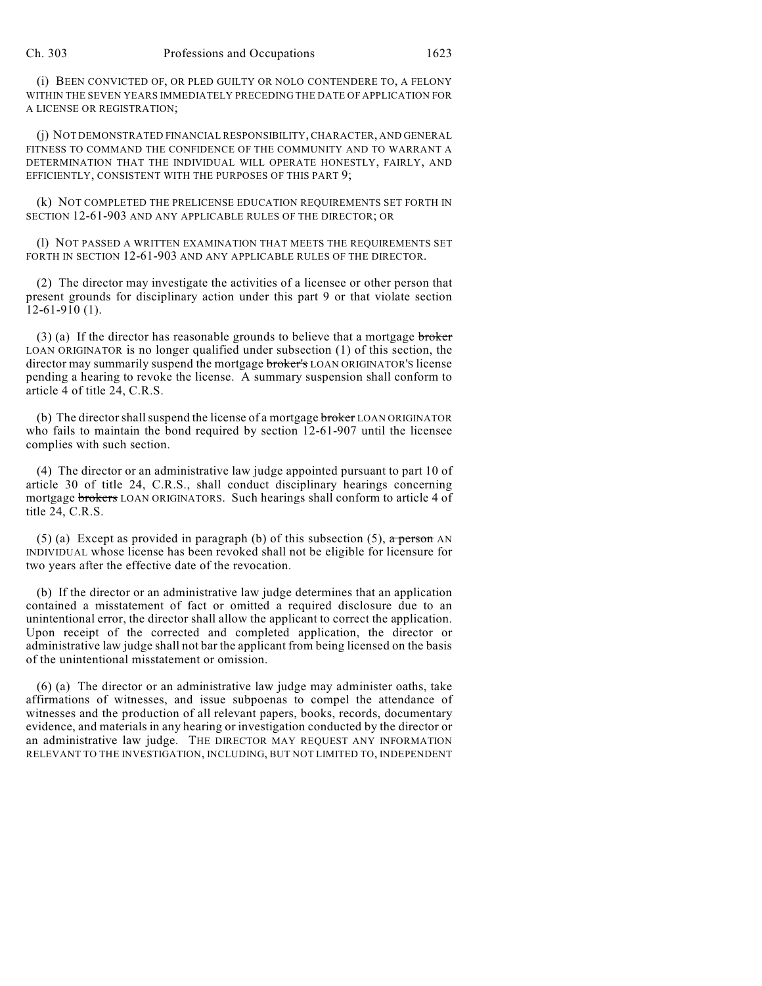(i) BEEN CONVICTED OF, OR PLED GUILTY OR NOLO CONTENDERE TO, A FELONY WITHIN THE SEVEN YEARS IMMEDIATELY PRECEDING THE DATE OF APPLICATION FOR A LICENSE OR REGISTRATION;

(j) NOT DEMONSTRATED FINANCIAL RESPONSIBILITY, CHARACTER, AND GENERAL FITNESS TO COMMAND THE CONFIDENCE OF THE COMMUNITY AND TO WARRANT A DETERMINATION THAT THE INDIVIDUAL WILL OPERATE HONESTLY, FAIRLY, AND EFFICIENTLY, CONSISTENT WITH THE PURPOSES OF THIS PART 9;

(k) NOT COMPLETED THE PRELICENSE EDUCATION REQUIREMENTS SET FORTH IN SECTION 12-61-903 AND ANY APPLICABLE RULES OF THE DIRECTOR; OR

(l) NOT PASSED A WRITTEN EXAMINATION THAT MEETS THE REQUIREMENTS SET FORTH IN SECTION 12-61-903 AND ANY APPLICABLE RULES OF THE DIRECTOR.

(2) The director may investigate the activities of a licensee or other person that present grounds for disciplinary action under this part 9 or that violate section  $\overline{12-61-910}$  (1).

(3) (a) If the director has reasonable grounds to believe that a mortgage broker LOAN ORIGINATOR is no longer qualified under subsection (1) of this section, the director may summarily suspend the mortgage broker's LOAN ORIGINATOR'S license pending a hearing to revoke the license. A summary suspension shall conform to article 4 of title 24, C.R.S.

(b) The director shall suspend the license of a mortgage broker LOAN ORIGINATOR who fails to maintain the bond required by section 12-61-907 until the licensee complies with such section.

(4) The director or an administrative law judge appointed pursuant to part 10 of article 30 of title 24, C.R.S., shall conduct disciplinary hearings concerning mortgage brokers LOAN ORIGINATORS. Such hearings shall conform to article 4 of title 24, C.R.S.

(5) (a) Except as provided in paragraph (b) of this subsection (5),  $\alpha$  person AN INDIVIDUAL whose license has been revoked shall not be eligible for licensure for two years after the effective date of the revocation.

(b) If the director or an administrative law judge determines that an application contained a misstatement of fact or omitted a required disclosure due to an unintentional error, the director shall allow the applicant to correct the application. Upon receipt of the corrected and completed application, the director or administrative law judge shall not bar the applicant from being licensed on the basis of the unintentional misstatement or omission.

(6) (a) The director or an administrative law judge may administer oaths, take affirmations of witnesses, and issue subpoenas to compel the attendance of witnesses and the production of all relevant papers, books, records, documentary evidence, and materials in any hearing or investigation conducted by the director or an administrative law judge. THE DIRECTOR MAY REQUEST ANY INFORMATION RELEVANT TO THE INVESTIGATION, INCLUDING, BUT NOT LIMITED TO, INDEPENDENT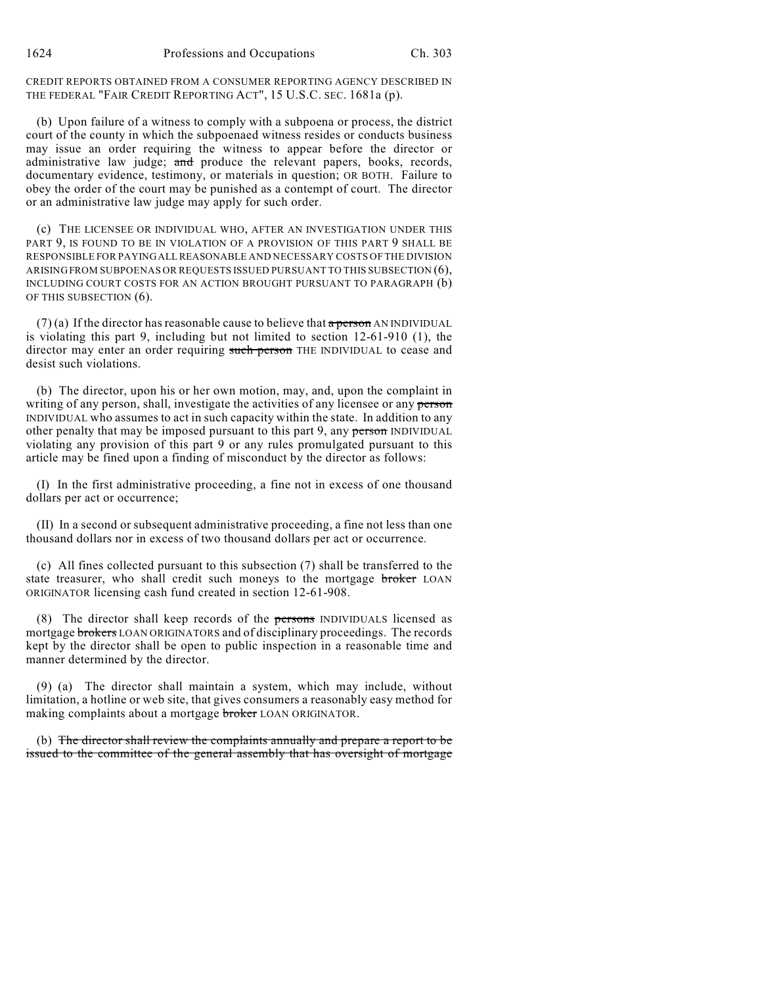1624 Professions and Occupations Ch. 303

CREDIT REPORTS OBTAINED FROM A CONSUMER REPORTING AGENCY DESCRIBED IN THE FEDERAL "FAIR CREDIT REPORTING ACT", 15 U.S.C. SEC. 1681a (p).

(b) Upon failure of a witness to comply with a subpoena or process, the district court of the county in which the subpoenaed witness resides or conducts business may issue an order requiring the witness to appear before the director or administrative law judge; and produce the relevant papers, books, records, documentary evidence, testimony, or materials in question; OR BOTH. Failure to obey the order of the court may be punished as a contempt of court. The director or an administrative law judge may apply for such order.

(c) THE LICENSEE OR INDIVIDUAL WHO, AFTER AN INVESTIGATION UNDER THIS PART 9, IS FOUND TO BE IN VIOLATION OF A PROVISION OF THIS PART 9 SHALL BE RESPONSIBLE FOR PAYING ALL REASONABLE AND NECESSARY COSTS OF THE DIVISION ARISING FROM SUBPOENAS OR REQUESTS ISSUED PURSUANT TO THIS SUBSECTION (6), INCLUDING COURT COSTS FOR AN ACTION BROUGHT PURSUANT TO PARAGRAPH (b) OF THIS SUBSECTION (6).

(7) (a) If the director has reasonable cause to believe that  $\alpha$  person AN INDIVIDUAL is violating this part 9, including but not limited to section 12-61-910 (1), the director may enter an order requiring such person THE INDIVIDUAL to cease and desist such violations.

(b) The director, upon his or her own motion, may, and, upon the complaint in writing of any person, shall, investigate the activities of any licensee or any person INDIVIDUAL who assumes to act in such capacity within the state. In addition to any other penalty that may be imposed pursuant to this part 9, any person INDIVIDUAL violating any provision of this part 9 or any rules promulgated pursuant to this article may be fined upon a finding of misconduct by the director as follows:

(I) In the first administrative proceeding, a fine not in excess of one thousand dollars per act or occurrence;

(II) In a second or subsequent administrative proceeding, a fine not less than one thousand dollars nor in excess of two thousand dollars per act or occurrence.

(c) All fines collected pursuant to this subsection (7) shall be transferred to the state treasurer, who shall credit such moneys to the mortgage broker LOAN ORIGINATOR licensing cash fund created in section 12-61-908.

(8) The director shall keep records of the persons INDIVIDUALS licensed as mortgage brokers LOAN ORIGINATORS and of disciplinary proceedings. The records kept by the director shall be open to public inspection in a reasonable time and manner determined by the director.

(9) (a) The director shall maintain a system, which may include, without limitation, a hotline or web site, that gives consumers a reasonably easy method for making complaints about a mortgage broker LOAN ORIGINATOR.

(b) The director shall review the complaints annually and prepare a report to be issued to the committee of the general assembly that has oversight of mortgage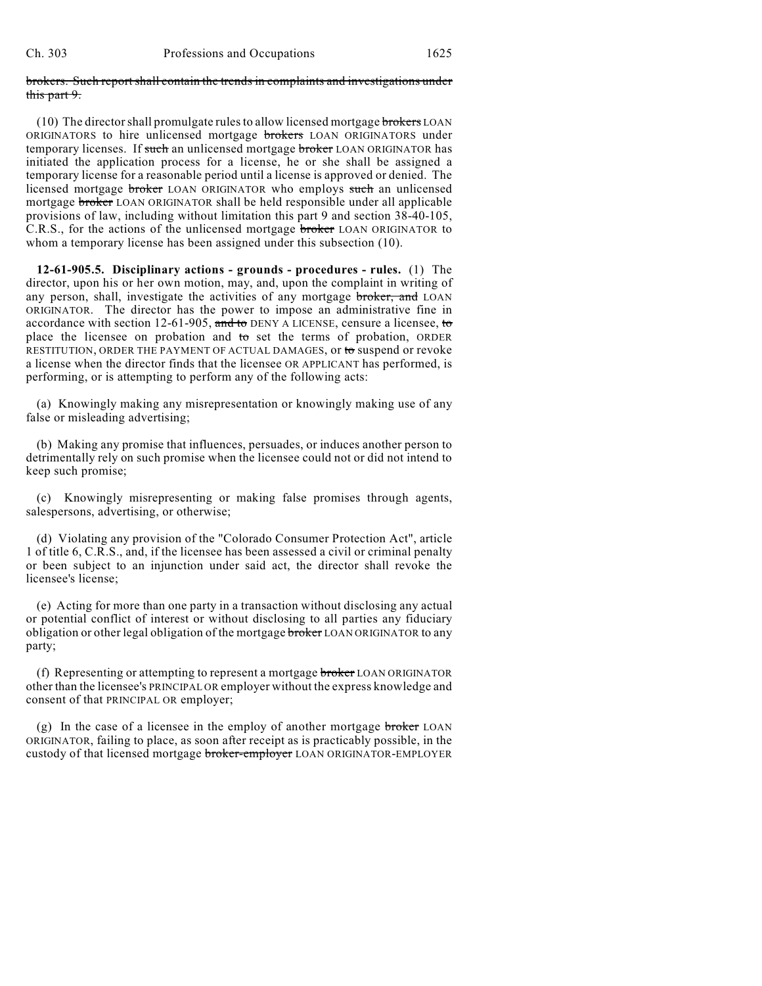## brokers. Such report shall contain the trends in complaints and investigations under this part 9.

(10) The director shall promulgate rules to allow licensed mortgage brokers LOAN ORIGINATORS to hire unlicensed mortgage brokers LOAN ORIGINATORS under temporary licenses. If such an unlicensed mortgage broker LOAN ORIGINATOR has initiated the application process for a license, he or she shall be assigned a temporary license for a reasonable period until a license is approved or denied. The licensed mortgage broker LOAN ORIGINATOR who employs such an unlicensed mortgage broker LOAN ORIGINATOR shall be held responsible under all applicable provisions of law, including without limitation this part 9 and section 38-40-105, C.R.S., for the actions of the unlicensed mortgage broker LOAN ORIGINATOR to whom a temporary license has been assigned under this subsection (10).

**12-61-905.5. Disciplinary actions - grounds - procedures - rules.** (1) The director, upon his or her own motion, may, and, upon the complaint in writing of any person, shall, investigate the activities of any mortgage broker, and LOAN ORIGINATOR. The director has the power to impose an administrative fine in accordance with section 12-61-905, and to DENY A LICENSE, censure a licensee, to place the licensee on probation and  $\tau$  bet the terms of probation, ORDER RESTITUTION, ORDER THE PAYMENT OF ACTUAL DAMAGES, or to suspend or revoke a license when the director finds that the licensee OR APPLICANT has performed, is performing, or is attempting to perform any of the following acts:

(a) Knowingly making any misrepresentation or knowingly making use of any false or misleading advertising;

(b) Making any promise that influences, persuades, or induces another person to detrimentally rely on such promise when the licensee could not or did not intend to keep such promise;

(c) Knowingly misrepresenting or making false promises through agents, salespersons, advertising, or otherwise;

(d) Violating any provision of the "Colorado Consumer Protection Act", article 1 of title 6, C.R.S., and, if the licensee has been assessed a civil or criminal penalty or been subject to an injunction under said act, the director shall revoke the licensee's license;

(e) Acting for more than one party in a transaction without disclosing any actual or potential conflict of interest or without disclosing to all parties any fiduciary obligation or other legal obligation of the mortgage broker LOAN ORIGINATOR to any party;

(f) Representing or attempting to represent a mortgage broker LOAN ORIGINATOR other than the licensee's PRINCIPAL OR employer without the express knowledge and consent of that PRINCIPAL OR employer;

(g) In the case of a licensee in the employ of another mortgage broker LOAN ORIGINATOR, failing to place, as soon after receipt as is practicably possible, in the custody of that licensed mortgage broker-employer LOAN ORIGINATOR-EMPLOYER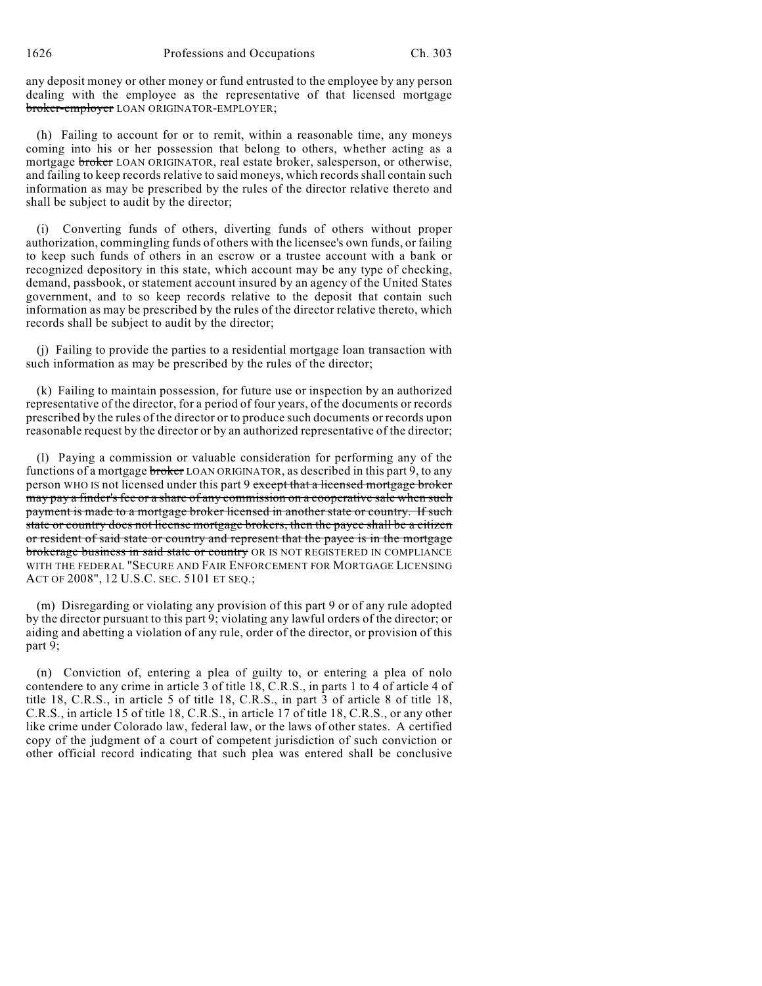any deposit money or other money or fund entrusted to the employee by any person dealing with the employee as the representative of that licensed mortgage broker-employer LOAN ORIGINATOR-EMPLOYER;

(h) Failing to account for or to remit, within a reasonable time, any moneys coming into his or her possession that belong to others, whether acting as a mortgage broker LOAN ORIGINATOR, real estate broker, salesperson, or otherwise, and failing to keep records relative to said moneys, which records shall contain such information as may be prescribed by the rules of the director relative thereto and shall be subject to audit by the director;

(i) Converting funds of others, diverting funds of others without proper authorization, commingling funds of others with the licensee's own funds, or failing to keep such funds of others in an escrow or a trustee account with a bank or recognized depository in this state, which account may be any type of checking, demand, passbook, or statement account insured by an agency of the United States government, and to so keep records relative to the deposit that contain such information as may be prescribed by the rules of the director relative thereto, which records shall be subject to audit by the director;

(j) Failing to provide the parties to a residential mortgage loan transaction with such information as may be prescribed by the rules of the director;

(k) Failing to maintain possession, for future use or inspection by an authorized representative of the director, for a period of four years, of the documents or records prescribed by the rules of the director or to produce such documents or records upon reasonable request by the director or by an authorized representative of the director;

(l) Paying a commission or valuable consideration for performing any of the functions of a mortgage broker LOAN ORIGINATOR, as described in this part 9, to any person WHO IS not licensed under this part 9 except that a licensed mortgage broker may pay a finder's fee or a share of any commission on a cooperative sale when such payment is made to a mortgage broker licensed in another state or country. If such state or country does not license mortgage brokers, then the payee shall be a citizen or resident of said state or country and represent that the payee is in the mortgage brokerage business in said state or country OR IS NOT REGISTERED IN COMPLIANCE WITH THE FEDERAL "SECURE AND FAIR ENFORCEMENT FOR MORTGAGE LICENSING ACT OF 2008", 12 U.S.C. SEC. 5101 ET SEQ.;

(m) Disregarding or violating any provision of this part 9 or of any rule adopted by the director pursuant to this part 9; violating any lawful orders of the director; or aiding and abetting a violation of any rule, order of the director, or provision of this part 9;

(n) Conviction of, entering a plea of guilty to, or entering a plea of nolo contendere to any crime in article 3 of title 18, C.R.S., in parts 1 to 4 of article 4 of title 18, C.R.S., in article 5 of title 18, C.R.S., in part 3 of article 8 of title 18, C.R.S., in article 15 of title 18, C.R.S., in article 17 of title 18, C.R.S., or any other like crime under Colorado law, federal law, or the laws of other states. A certified copy of the judgment of a court of competent jurisdiction of such conviction or other official record indicating that such plea was entered shall be conclusive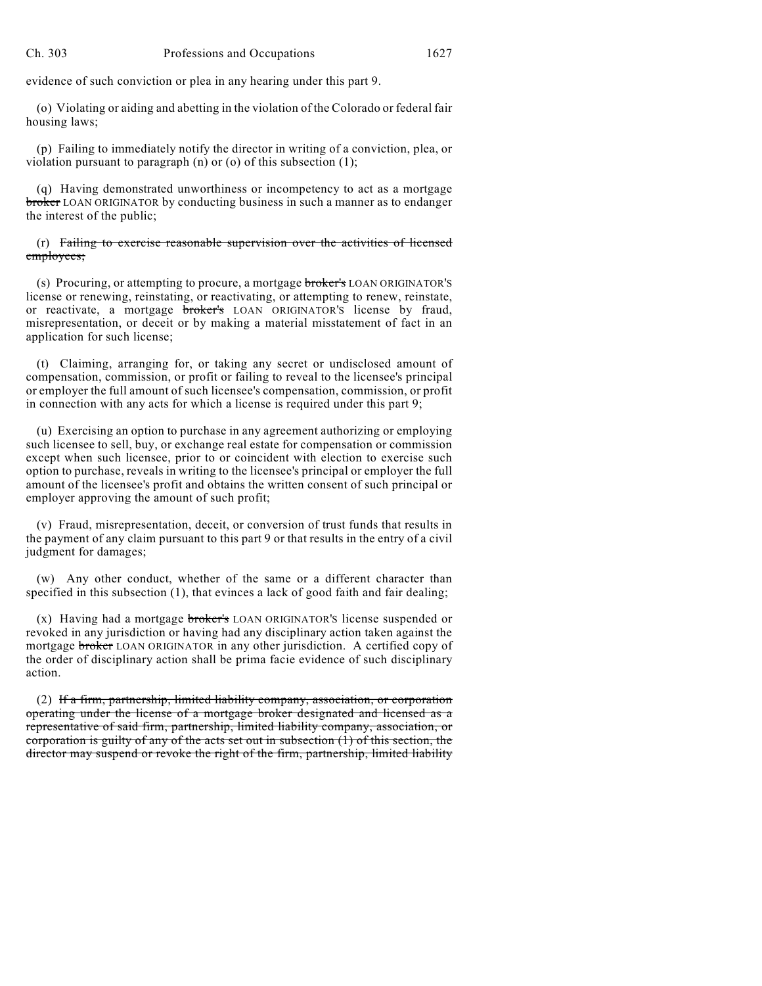evidence of such conviction or plea in any hearing under this part 9.

(o) Violating or aiding and abetting in the violation of the Colorado or federal fair housing laws;

(p) Failing to immediately notify the director in writing of a conviction, plea, or violation pursuant to paragraph (n) or (o) of this subsection (1);

(q) Having demonstrated unworthiness or incompetency to act as a mortgage broker LOAN ORIGINATOR by conducting business in such a manner as to endanger the interest of the public;

(r) Failing to exercise reasonable supervision over the activities of licensed employees;

(s) Procuring, or attempting to procure, a mortgage broker's LOAN ORIGINATOR'S license or renewing, reinstating, or reactivating, or attempting to renew, reinstate, or reactivate, a mortgage broker's LOAN ORIGINATOR'S license by fraud, misrepresentation, or deceit or by making a material misstatement of fact in an application for such license;

(t) Claiming, arranging for, or taking any secret or undisclosed amount of compensation, commission, or profit or failing to reveal to the licensee's principal or employer the full amount of such licensee's compensation, commission, or profit in connection with any acts for which a license is required under this part 9;

(u) Exercising an option to purchase in any agreement authorizing or employing such licensee to sell, buy, or exchange real estate for compensation or commission except when such licensee, prior to or coincident with election to exercise such option to purchase, reveals in writing to the licensee's principal or employer the full amount of the licensee's profit and obtains the written consent of such principal or employer approving the amount of such profit;

(v) Fraud, misrepresentation, deceit, or conversion of trust funds that results in the payment of any claim pursuant to this part 9 or that results in the entry of a civil judgment for damages;

(w) Any other conduct, whether of the same or a different character than specified in this subsection (1), that evinces a lack of good faith and fair dealing;

(x) Having had a mortgage broker's LOAN ORIGINATOR'S license suspended or revoked in any jurisdiction or having had any disciplinary action taken against the mortgage broker LOAN ORIGINATOR in any other jurisdiction. A certified copy of the order of disciplinary action shall be prima facie evidence of such disciplinary action.

(2) If a firm, partnership, limited liability company, association, or corporation operating under the license of a mortgage broker designated and licensed as a representative of said firm, partnership, limited liability company, association, or corporation is guilty of any of the acts set out in subsection  $(1)$  of this section, the director may suspend or revoke the right of the firm, partnership, limited liability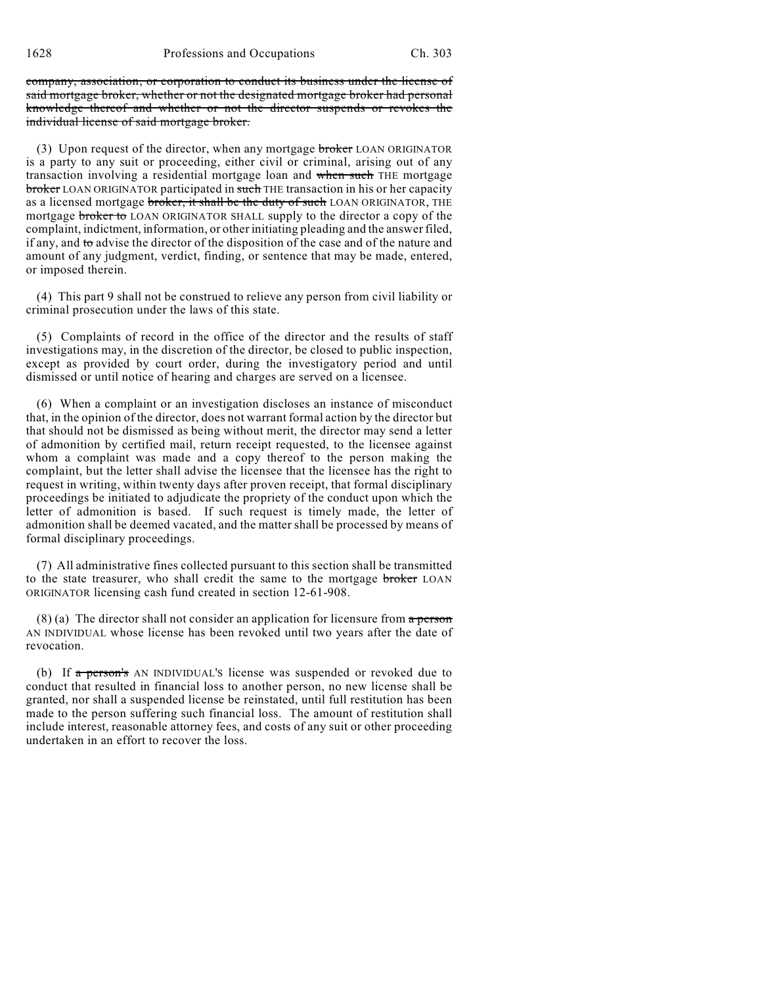1628 Professions and Occupations Ch. 303

company, association, or corporation to conduct its business under the license of said mortgage broker, whether or not the designated mortgage broker had personal knowledge thereof and whether or not the director suspends or revokes the individual license of said mortgage broker.

(3) Upon request of the director, when any mortgage broker LOAN ORIGINATOR is a party to any suit or proceeding, either civil or criminal, arising out of any transaction involving a residential mortgage loan and when such THE mortgage broker LOAN ORIGINATOR participated in such THE transaction in his or her capacity as a licensed mortgage broker, it shall be the duty of such LOAN ORIGINATOR, THE mortgage broker to LOAN ORIGINATOR SHALL supply to the director a copy of the complaint, indictment, information, or other initiating pleading and the answer filed, if any, and to advise the director of the disposition of the case and of the nature and amount of any judgment, verdict, finding, or sentence that may be made, entered, or imposed therein.

(4) This part 9 shall not be construed to relieve any person from civil liability or criminal prosecution under the laws of this state.

(5) Complaints of record in the office of the director and the results of staff investigations may, in the discretion of the director, be closed to public inspection, except as provided by court order, during the investigatory period and until dismissed or until notice of hearing and charges are served on a licensee.

(6) When a complaint or an investigation discloses an instance of misconduct that, in the opinion of the director, does not warrant formal action by the director but that should not be dismissed as being without merit, the director may send a letter of admonition by certified mail, return receipt requested, to the licensee against whom a complaint was made and a copy thereof to the person making the complaint, but the letter shall advise the licensee that the licensee has the right to request in writing, within twenty days after proven receipt, that formal disciplinary proceedings be initiated to adjudicate the propriety of the conduct upon which the letter of admonition is based. If such request is timely made, the letter of admonition shall be deemed vacated, and the matter shall be processed by means of formal disciplinary proceedings.

(7) All administrative fines collected pursuant to this section shall be transmitted to the state treasurer, who shall credit the same to the mortgage broker LOAN ORIGINATOR licensing cash fund created in section 12-61-908.

(8) (a) The director shall not consider an application for licensure from  $\alpha$  person AN INDIVIDUAL whose license has been revoked until two years after the date of revocation.

(b) If a person's AN INDIVIDUAL'S license was suspended or revoked due to conduct that resulted in financial loss to another person, no new license shall be granted, nor shall a suspended license be reinstated, until full restitution has been made to the person suffering such financial loss. The amount of restitution shall include interest, reasonable attorney fees, and costs of any suit or other proceeding undertaken in an effort to recover the loss.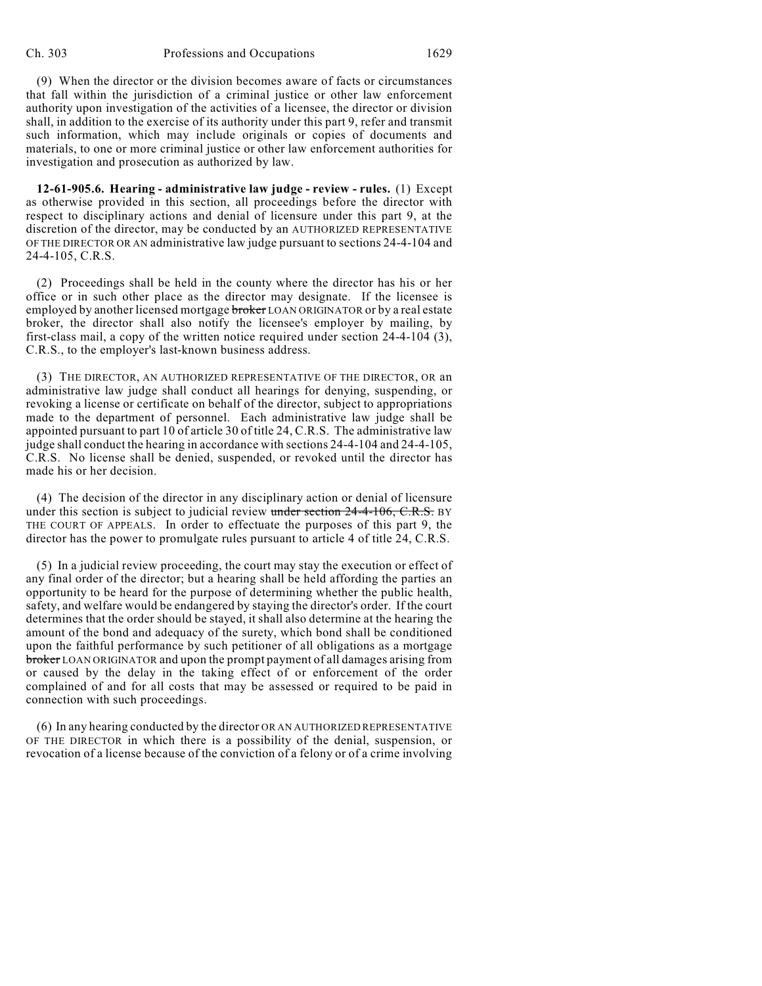(9) When the director or the division becomes aware of facts or circumstances that fall within the jurisdiction of a criminal justice or other law enforcement authority upon investigation of the activities of a licensee, the director or division shall, in addition to the exercise of its authority under this part 9, refer and transmit such information, which may include originals or copies of documents and materials, to one or more criminal justice or other law enforcement authorities for investigation and prosecution as authorized by law.

**12-61-905.6. Hearing - administrative law judge - review - rules.** (1) Except as otherwise provided in this section, all proceedings before the director with respect to disciplinary actions and denial of licensure under this part 9, at the discretion of the director, may be conducted by an AUTHORIZED REPRESENTATIVE OF THE DIRECTOR OR AN administrative law judge pursuant to sections 24-4-104 and 24-4-105, C.R.S.

(2) Proceedings shall be held in the county where the director has his or her office or in such other place as the director may designate. If the licensee is employed by another licensed mortgage broker LOAN ORIGINATOR or by a real estate broker, the director shall also notify the licensee's employer by mailing, by first-class mail, a copy of the written notice required under section 24-4-104 (3), C.R.S., to the employer's last-known business address.

(3) THE DIRECTOR, AN AUTHORIZED REPRESENTATIVE OF THE DIRECTOR, OR an administrative law judge shall conduct all hearings for denying, suspending, or revoking a license or certificate on behalf of the director, subject to appropriations made to the department of personnel. Each administrative law judge shall be appointed pursuant to part 10 of article 30 of title 24, C.R.S. The administrative law judge shall conduct the hearing in accordance with sections 24-4-104 and 24-4-105, C.R.S. No license shall be denied, suspended, or revoked until the director has made his or her decision.

(4) The decision of the director in any disciplinary action or denial of licensure under this section is subject to judicial review under section 24-4-106, C.R.S. BY THE COURT OF APPEALS. In order to effectuate the purposes of this part 9, the director has the power to promulgate rules pursuant to article 4 of title 24, C.R.S.

(5) In a judicial review proceeding, the court may stay the execution or effect of any final order of the director; but a hearing shall be held affording the parties an opportunity to be heard for the purpose of determining whether the public health, safety, and welfare would be endangered by staying the director's order. If the court determines that the order should be stayed, it shall also determine at the hearing the amount of the bond and adequacy of the surety, which bond shall be conditioned upon the faithful performance by such petitioner of all obligations as a mortgage broker LOAN ORIGINATOR and upon the prompt payment of all damages arising from or caused by the delay in the taking effect of or enforcement of the order complained of and for all costs that may be assessed or required to be paid in connection with such proceedings.

(6) In any hearing conducted by the director OR AN AUTHORIZED REPRESENTATIVE OF THE DIRECTOR in which there is a possibility of the denial, suspension, or revocation of a license because of the conviction of a felony or of a crime involving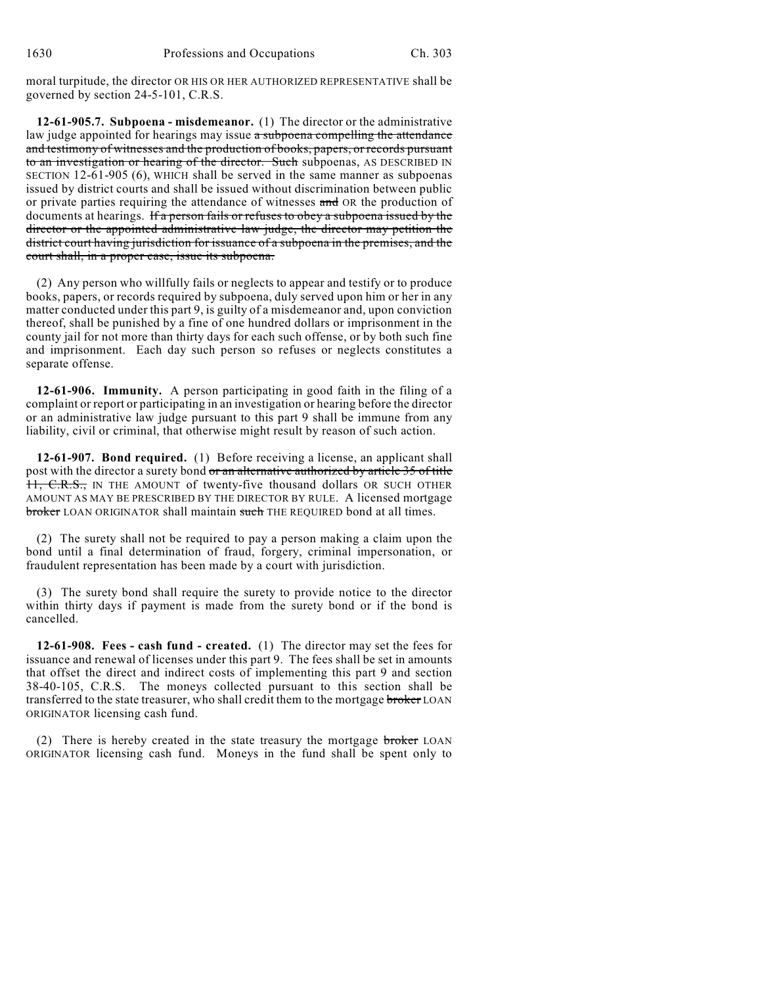moral turpitude, the director OR HIS OR HER AUTHORIZED REPRESENTATIVE shall be governed by section 24-5-101, C.R.S.

**12-61-905.7. Subpoena - misdemeanor.** (1) The director or the administrative law judge appointed for hearings may issue a subpoena compelling the attendance and testimony of witnesses and the production of books, papers, or records pursuant to an investigation or hearing of the director. Such subpoenas, AS DESCRIBED IN SECTION 12-61-905 (6), WHICH shall be served in the same manner as subpoenas issued by district courts and shall be issued without discrimination between public or private parties requiring the attendance of witnesses and OR the production of documents at hearings. If a person fails or refuses to obey a subpoena issued by the director or the appointed administrative law judge, the director may petition the district court having jurisdiction for issuance of a subpoena in the premises, and the court shall, in a proper case, issue its subpoena.

(2) Any person who willfully fails or neglects to appear and testify or to produce books, papers, or records required by subpoena, duly served upon him or her in any matter conducted under this part 9, is guilty of a misdemeanor and, upon conviction thereof, shall be punished by a fine of one hundred dollars or imprisonment in the county jail for not more than thirty days for each such offense, or by both such fine and imprisonment. Each day such person so refuses or neglects constitutes a separate offense.

**12-61-906. Immunity.** A person participating in good faith in the filing of a complaint or report or participating in an investigation or hearing before the director or an administrative law judge pursuant to this part 9 shall be immune from any liability, civil or criminal, that otherwise might result by reason of such action.

**12-61-907. Bond required.** (1) Before receiving a license, an applicant shall post with the director a surety bond or an alternative authorized by article 35 of title 11, C.R.S., IN THE AMOUNT of twenty-five thousand dollars OR SUCH OTHER AMOUNT AS MAY BE PRESCRIBED BY THE DIRECTOR BY RULE. A licensed mortgage broker LOAN ORIGINATOR shall maintain such THE REQUIRED bond at all times.

(2) The surety shall not be required to pay a person making a claim upon the bond until a final determination of fraud, forgery, criminal impersonation, or fraudulent representation has been made by a court with jurisdiction.

(3) The surety bond shall require the surety to provide notice to the director within thirty days if payment is made from the surety bond or if the bond is cancelled.

**12-61-908. Fees - cash fund - created.** (1) The director may set the fees for issuance and renewal of licenses under this part 9. The fees shall be set in amounts that offset the direct and indirect costs of implementing this part 9 and section 38-40-105, C.R.S. The moneys collected pursuant to this section shall be transferred to the state treasurer, who shall credit them to the mortgage broker LOAN ORIGINATOR licensing cash fund.

(2) There is hereby created in the state treasury the mortgage broker LOAN ORIGINATOR licensing cash fund. Moneys in the fund shall be spent only to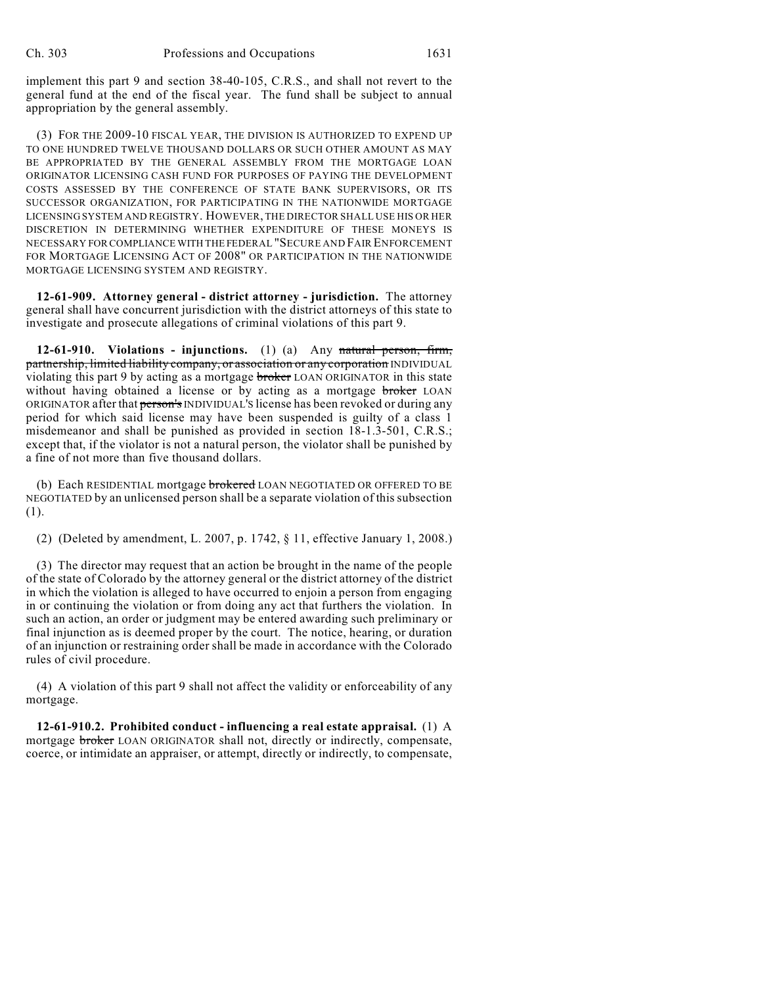implement this part 9 and section 38-40-105, C.R.S., and shall not revert to the general fund at the end of the fiscal year. The fund shall be subject to annual appropriation by the general assembly.

(3) FOR THE 2009-10 FISCAL YEAR, THE DIVISION IS AUTHORIZED TO EXPEND UP TO ONE HUNDRED TWELVE THOUSAND DOLLARS OR SUCH OTHER AMOUNT AS MAY BE APPROPRIATED BY THE GENERAL ASSEMBLY FROM THE MORTGAGE LOAN ORIGINATOR LICENSING CASH FUND FOR PURPOSES OF PAYING THE DEVELOPMENT COSTS ASSESSED BY THE CONFERENCE OF STATE BANK SUPERVISORS, OR ITS SUCCESSOR ORGANIZATION, FOR PARTICIPATING IN THE NATIONWIDE MORTGAGE LICENSING SYSTEM AND REGISTRY. HOWEVER, THE DIRECTOR SHALL USE HIS OR HER DISCRETION IN DETERMINING WHETHER EXPENDITURE OF THESE MONEYS IS NECESSARY FOR COMPLIANCE WITH THE FEDERAL "SECURE AND FAIR ENFORCEMENT FOR MORTGAGE LICENSING ACT OF 2008" OR PARTICIPATION IN THE NATIONWIDE MORTGAGE LICENSING SYSTEM AND REGISTRY.

**12-61-909. Attorney general - district attorney - jurisdiction.** The attorney general shall have concurrent jurisdiction with the district attorneys of this state to investigate and prosecute allegations of criminal violations of this part 9.

**12-61-910. Violations - injunctions.** (1) (a) Any natural person, firm, partnership, limited liability company, or association or any corporation INDIVIDUAL violating this part 9 by acting as a mortgage broker LOAN ORIGINATOR in this state without having obtained a license or by acting as a mortgage broker LOAN ORIGINATOR after that person's INDIVIDUAL'S license has been revoked or during any period for which said license may have been suspended is guilty of a class 1 misdemeanor and shall be punished as provided in section 18-1.3-501, C.R.S.; except that, if the violator is not a natural person, the violator shall be punished by a fine of not more than five thousand dollars.

(b) Each RESIDENTIAL mortgage brokered LOAN NEGOTIATED OR OFFERED TO BE NEGOTIATED by an unlicensed person shall be a separate violation of this subsection (1).

(2) (Deleted by amendment, L. 2007, p. 1742, § 11, effective January 1, 2008.)

(3) The director may request that an action be brought in the name of the people of the state of Colorado by the attorney general or the district attorney of the district in which the violation is alleged to have occurred to enjoin a person from engaging in or continuing the violation or from doing any act that furthers the violation. In such an action, an order or judgment may be entered awarding such preliminary or final injunction as is deemed proper by the court. The notice, hearing, or duration of an injunction or restraining order shall be made in accordance with the Colorado rules of civil procedure.

(4) A violation of this part 9 shall not affect the validity or enforceability of any mortgage.

**12-61-910.2. Prohibited conduct - influencing a real estate appraisal.** (1) A mortgage broker LOAN ORIGINATOR shall not, directly or indirectly, compensate, coerce, or intimidate an appraiser, or attempt, directly or indirectly, to compensate,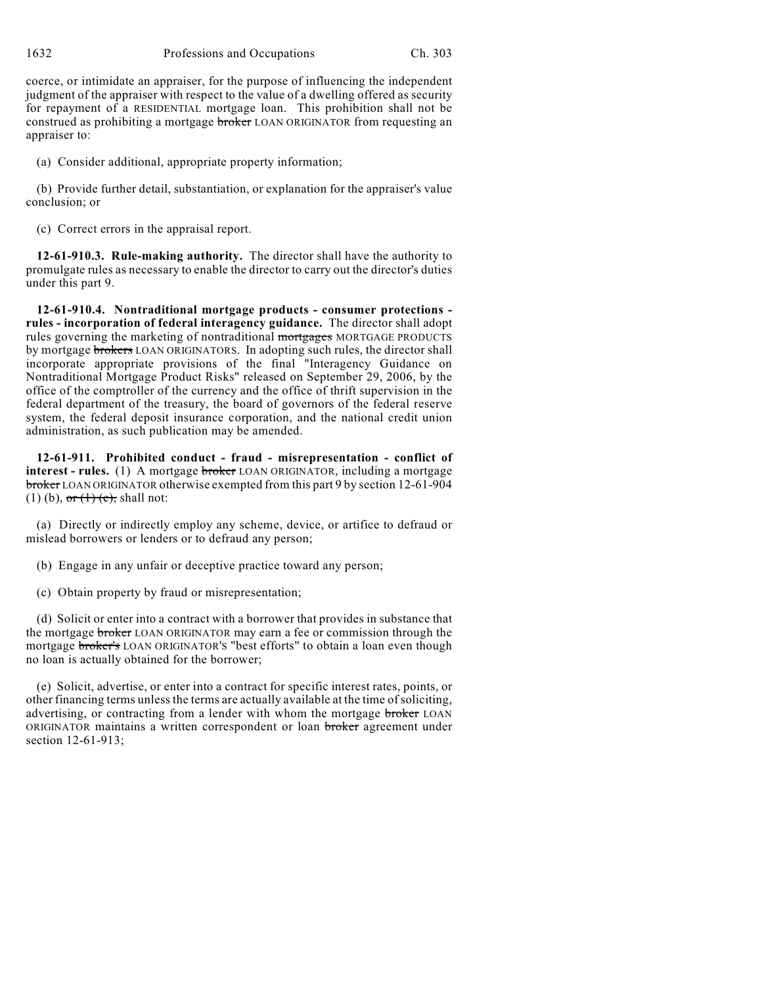1632 Professions and Occupations Ch. 303

coerce, or intimidate an appraiser, for the purpose of influencing the independent judgment of the appraiser with respect to the value of a dwelling offered as security for repayment of a RESIDENTIAL mortgage loan. This prohibition shall not be construed as prohibiting a mortgage broker LOAN ORIGINATOR from requesting an appraiser to:

(a) Consider additional, appropriate property information;

(b) Provide further detail, substantiation, or explanation for the appraiser's value conclusion; or

(c) Correct errors in the appraisal report.

**12-61-910.3. Rule-making authority.** The director shall have the authority to promulgate rules as necessary to enable the director to carry out the director's duties under this part 9.

**12-61-910.4. Nontraditional mortgage products - consumer protections rules - incorporation of federal interagency guidance.** The director shall adopt rules governing the marketing of nontraditional mortgages MORTGAGE PRODUCTS by mortgage brokers LOAN ORIGINATORS. In adopting such rules, the director shall incorporate appropriate provisions of the final "Interagency Guidance on Nontraditional Mortgage Product Risks" released on September 29, 2006, by the office of the comptroller of the currency and the office of thrift supervision in the federal department of the treasury, the board of governors of the federal reserve system, the federal deposit insurance corporation, and the national credit union administration, as such publication may be amended.

**12-61-911. Prohibited conduct - fraud - misrepresentation - conflict of interest - rules.** (1) A mortgage broker LOAN ORIGINATOR, including a mortgage broker LOAN ORIGINATOR otherwise exempted from this part 9 by section 12-61-904 (1) (b),  $\sigma$ r (1) (c), shall not:

(a) Directly or indirectly employ any scheme, device, or artifice to defraud or mislead borrowers or lenders or to defraud any person;

(b) Engage in any unfair or deceptive practice toward any person;

(c) Obtain property by fraud or misrepresentation;

(d) Solicit or enter into a contract with a borrower that provides in substance that the mortgage broker LOAN ORIGINATOR may earn a fee or commission through the mortgage broker's LOAN ORIGINATOR'S "best efforts" to obtain a loan even though no loan is actually obtained for the borrower;

(e) Solicit, advertise, or enter into a contract for specific interest rates, points, or other financing terms unless the terms are actually available at the time of soliciting, advertising, or contracting from a lender with whom the mortgage broker LOAN ORIGINATOR maintains a written correspondent or loan broker agreement under section 12-61-913;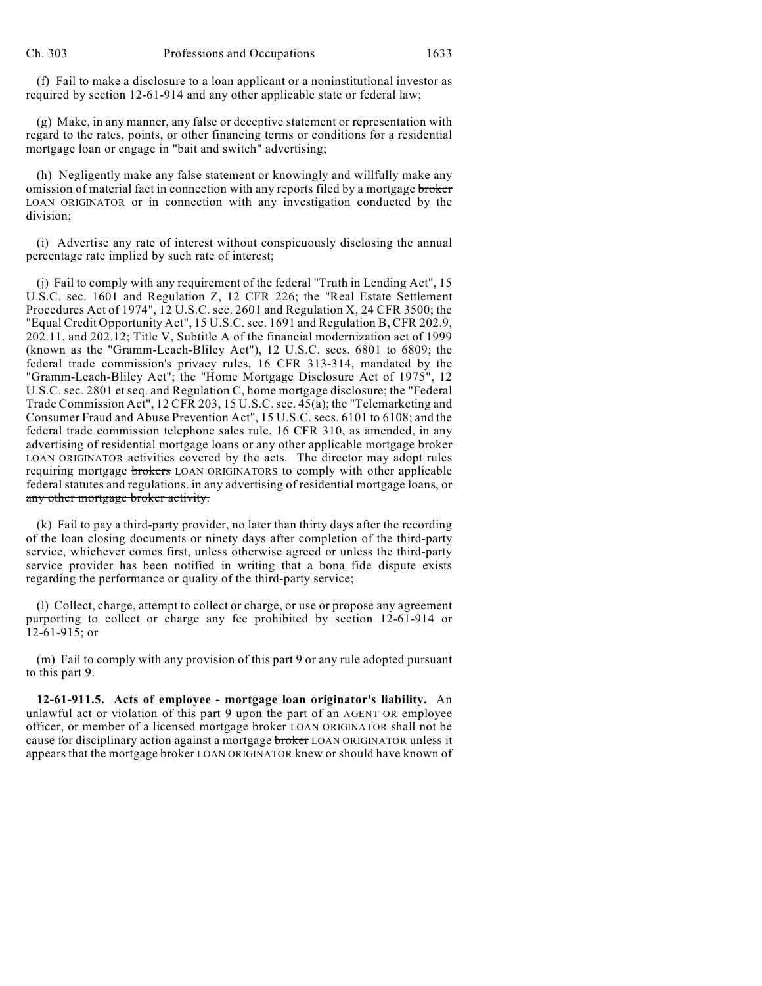(f) Fail to make a disclosure to a loan applicant or a noninstitutional investor as required by section 12-61-914 and any other applicable state or federal law;

(g) Make, in any manner, any false or deceptive statement or representation with regard to the rates, points, or other financing terms or conditions for a residential mortgage loan or engage in "bait and switch" advertising;

(h) Negligently make any false statement or knowingly and willfully make any omission of material fact in connection with any reports filed by a mortgage broker LOAN ORIGINATOR or in connection with any investigation conducted by the division;

(i) Advertise any rate of interest without conspicuously disclosing the annual percentage rate implied by such rate of interest;

(j) Fail to comply with any requirement of the federal "Truth in Lending Act", 15 U.S.C. sec. 1601 and Regulation Z, 12 CFR 226; the "Real Estate Settlement Procedures Act of 1974", 12 U.S.C. sec. 2601 and Regulation X, 24 CFR 3500; the "Equal Credit Opportunity Act", 15 U.S.C.sec. 1691 and Regulation B, CFR 202.9, 202.11, and 202.12; Title V, Subtitle A of the financial modernization act of 1999 (known as the "Gramm-Leach-Bliley Act"), 12 U.S.C. secs. 6801 to 6809; the federal trade commission's privacy rules, 16 CFR 313-314, mandated by the "Gramm-Leach-Bliley Act"; the "Home Mortgage Disclosure Act of 1975", 12 U.S.C. sec. 2801 et seq. and Regulation C, home mortgage disclosure; the "Federal Trade Commission Act", 12 CFR 203, 15 U.S.C.sec. 45(a); the "Telemarketing and Consumer Fraud and Abuse Prevention Act", 15 U.S.C. secs. 6101 to 6108; and the federal trade commission telephone sales rule, 16 CFR 310, as amended, in any advertising of residential mortgage loans or any other applicable mortgage broker LOAN ORIGINATOR activities covered by the acts. The director may adopt rules requiring mortgage brokers LOAN ORIGINATORS to comply with other applicable federal statutes and regulations. in any advertising of residential mortgage loans, or any other mortgage broker activity.

(k) Fail to pay a third-party provider, no later than thirty days after the recording of the loan closing documents or ninety days after completion of the third-party service, whichever comes first, unless otherwise agreed or unless the third-party service provider has been notified in writing that a bona fide dispute exists regarding the performance or quality of the third-party service;

(l) Collect, charge, attempt to collect or charge, or use or propose any agreement purporting to collect or charge any fee prohibited by section 12-61-914 or 12-61-915; or

(m) Fail to comply with any provision of this part 9 or any rule adopted pursuant to this part 9.

**12-61-911.5. Acts of employee - mortgage loan originator's liability.** An unlawful act or violation of this part 9 upon the part of an AGENT OR employee officer, or member of a licensed mortgage broker LOAN ORIGINATOR shall not be cause for disciplinary action against a mortgage broker LOAN ORIGINATOR unless it appears that the mortgage broker LOAN ORIGINATOR knew or should have known of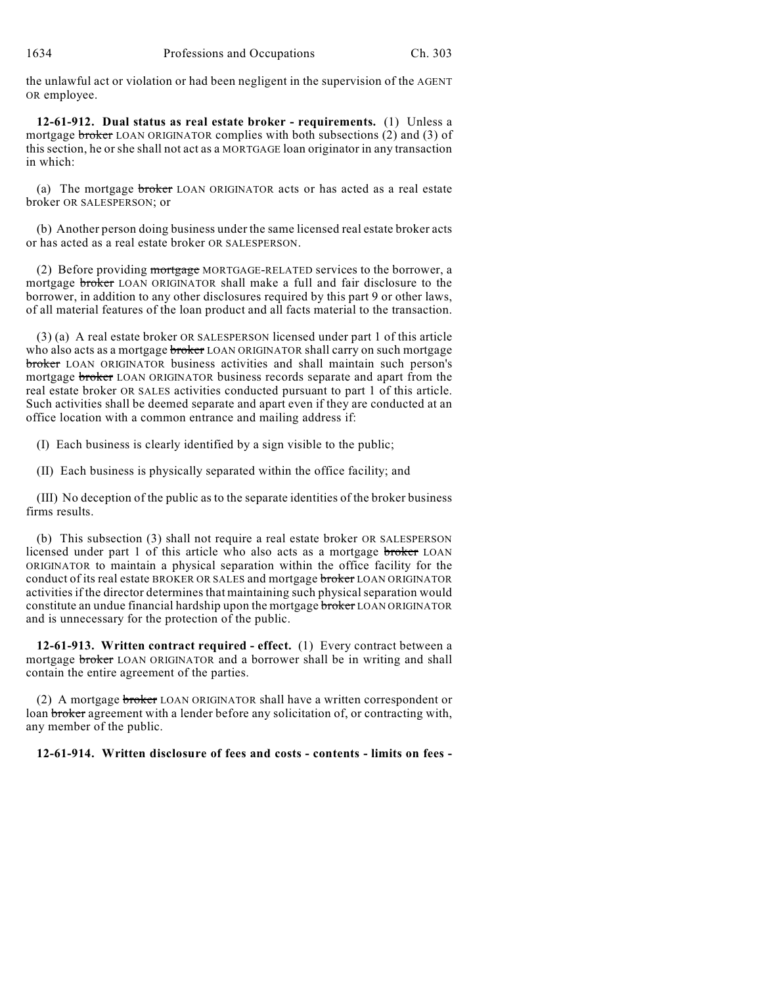the unlawful act or violation or had been negligent in the supervision of the AGENT OR employee.

**12-61-912. Dual status as real estate broker - requirements.** (1) Unless a mortgage broker LOAN ORIGINATOR complies with both subsections (2) and (3) of this section, he or she shall not act as a MORTGAGE loan originator in any transaction in which:

(a) The mortgage broker LOAN ORIGINATOR acts or has acted as a real estate broker OR SALESPERSON; or

(b) Another person doing business under the same licensed real estate broker acts or has acted as a real estate broker OR SALESPERSON.

(2) Before providing mortgage MORTGAGE-RELATED services to the borrower, a mortgage broker LOAN ORIGINATOR shall make a full and fair disclosure to the borrower, in addition to any other disclosures required by this part 9 or other laws, of all material features of the loan product and all facts material to the transaction.

(3) (a) A real estate broker OR SALESPERSON licensed under part 1 of this article who also acts as a mortgage broker LOAN ORIGINATOR shall carry on such mortgage broker LOAN ORIGINATOR business activities and shall maintain such person's mortgage broker LOAN ORIGINATOR business records separate and apart from the real estate broker OR SALES activities conducted pursuant to part 1 of this article. Such activities shall be deemed separate and apart even if they are conducted at an office location with a common entrance and mailing address if:

(I) Each business is clearly identified by a sign visible to the public;

(II) Each business is physically separated within the office facility; and

(III) No deception of the public as to the separate identities of the broker business firms results.

(b) This subsection (3) shall not require a real estate broker OR SALESPERSON licensed under part 1 of this article who also acts as a mortgage broker LOAN ORIGINATOR to maintain a physical separation within the office facility for the conduct of its real estate BROKER OR SALES and mortgage broker LOAN ORIGINATOR activities if the director determines that maintaining such physical separation would constitute an undue financial hardship upon the mortgage broker LOAN ORIGINATOR and is unnecessary for the protection of the public.

**12-61-913. Written contract required - effect.** (1) Every contract between a mortgage broker LOAN ORIGINATOR and a borrower shall be in writing and shall contain the entire agreement of the parties.

(2) A mortgage broker LOAN ORIGINATOR shall have a written correspondent or loan broker agreement with a lender before any solicitation of, or contracting with, any member of the public.

**12-61-914. Written disclosure of fees and costs - contents - limits on fees -**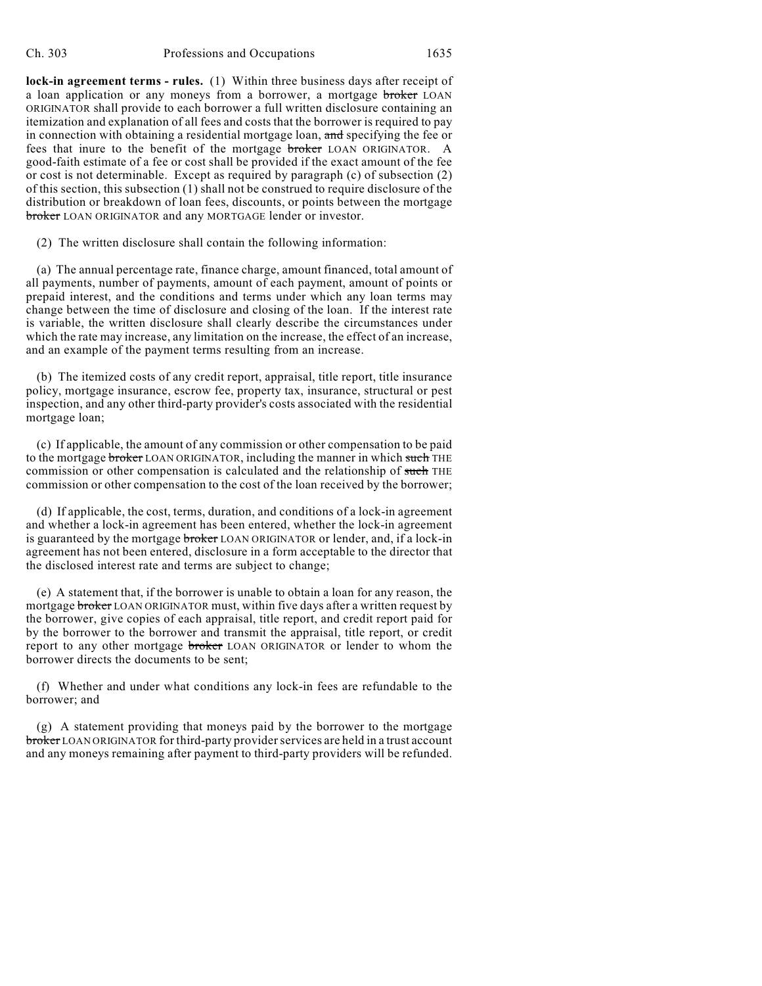**lock-in agreement terms - rules.** (1) Within three business days after receipt of a loan application or any moneys from a borrower, a mortgage broker LOAN ORIGINATOR shall provide to each borrower a full written disclosure containing an itemization and explanation of all fees and costs that the borrower is required to pay in connection with obtaining a residential mortgage loan, and specifying the fee or fees that inure to the benefit of the mortgage broker LOAN ORIGINATOR. A good-faith estimate of a fee or cost shall be provided if the exact amount of the fee or cost is not determinable. Except as required by paragraph (c) of subsection (2) of this section, this subsection (1) shall not be construed to require disclosure of the distribution or breakdown of loan fees, discounts, or points between the mortgage broker LOAN ORIGINATOR and any MORTGAGE lender or investor.

(2) The written disclosure shall contain the following information:

(a) The annual percentage rate, finance charge, amount financed, total amount of all payments, number of payments, amount of each payment, amount of points or prepaid interest, and the conditions and terms under which any loan terms may change between the time of disclosure and closing of the loan. If the interest rate is variable, the written disclosure shall clearly describe the circumstances under which the rate may increase, any limitation on the increase, the effect of an increase, and an example of the payment terms resulting from an increase.

(b) The itemized costs of any credit report, appraisal, title report, title insurance policy, mortgage insurance, escrow fee, property tax, insurance, structural or pest inspection, and any other third-party provider's costs associated with the residential mortgage loan;

(c) If applicable, the amount of any commission or other compensation to be paid to the mortgage broker LOAN ORIGINATOR, including the manner in which such THE commission or other compensation is calculated and the relationship of such THE commission or other compensation to the cost of the loan received by the borrower;

(d) If applicable, the cost, terms, duration, and conditions of a lock-in agreement and whether a lock-in agreement has been entered, whether the lock-in agreement is guaranteed by the mortgage broker LOAN ORIGINATOR or lender, and, if a lock-in agreement has not been entered, disclosure in a form acceptable to the director that the disclosed interest rate and terms are subject to change;

(e) A statement that, if the borrower is unable to obtain a loan for any reason, the mortgage broker LOAN ORIGINATOR must, within five days after a written request by the borrower, give copies of each appraisal, title report, and credit report paid for by the borrower to the borrower and transmit the appraisal, title report, or credit report to any other mortgage broker LOAN ORIGINATOR or lender to whom the borrower directs the documents to be sent;

(f) Whether and under what conditions any lock-in fees are refundable to the borrower; and

(g) A statement providing that moneys paid by the borrower to the mortgage broker LOAN ORIGINATOR for third-party provider services are held in a trust account and any moneys remaining after payment to third-party providers will be refunded.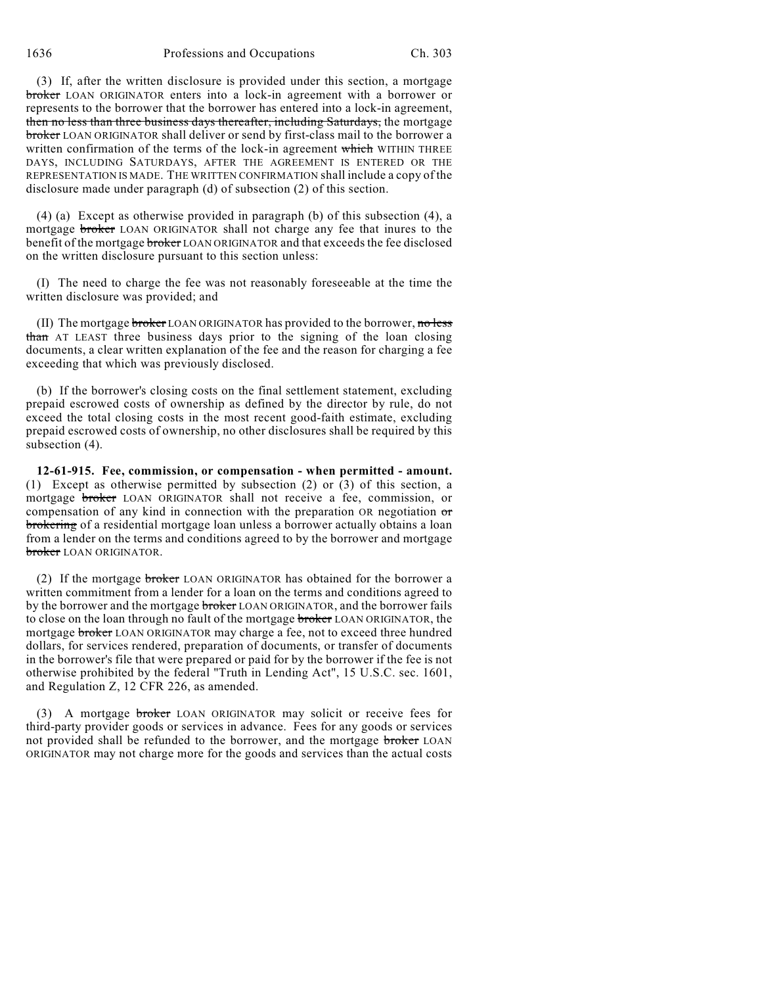1636 Professions and Occupations Ch. 303

(3) If, after the written disclosure is provided under this section, a mortgage broker LOAN ORIGINATOR enters into a lock-in agreement with a borrower or represents to the borrower that the borrower has entered into a lock-in agreement, then no less than three business days thereafter, including Saturdays, the mortgage broker LOAN ORIGINATOR shall deliver or send by first-class mail to the borrower a written confirmation of the terms of the lock-in agreement which WITHIN THREE DAYS, INCLUDING SATURDAYS, AFTER THE AGREEMENT IS ENTERED OR THE REPRESENTATION IS MADE. THE WRITTEN CONFIRMATION shall include a copy of the disclosure made under paragraph (d) of subsection (2) of this section.

(4) (a) Except as otherwise provided in paragraph (b) of this subsection (4), a mortgage broker LOAN ORIGINATOR shall not charge any fee that inures to the benefit of the mortgage broker LOAN ORIGINATOR and that exceeds the fee disclosed on the written disclosure pursuant to this section unless:

(I) The need to charge the fee was not reasonably foreseeable at the time the written disclosure was provided; and

(II) The mortgage broker LOAN ORIGINATOR has provided to the borrower, no less than AT LEAST three business days prior to the signing of the loan closing documents, a clear written explanation of the fee and the reason for charging a fee exceeding that which was previously disclosed.

(b) If the borrower's closing costs on the final settlement statement, excluding prepaid escrowed costs of ownership as defined by the director by rule, do not exceed the total closing costs in the most recent good-faith estimate, excluding prepaid escrowed costs of ownership, no other disclosures shall be required by this subsection (4).

**12-61-915. Fee, commission, or compensation - when permitted - amount.** (1) Except as otherwise permitted by subsection (2) or (3) of this section, a mortgage broker LOAN ORIGINATOR shall not receive a fee, commission, or compensation of any kind in connection with the preparation OR negotiation  $\sigma$ brokering of a residential mortgage loan unless a borrower actually obtains a loan from a lender on the terms and conditions agreed to by the borrower and mortgage broker LOAN ORIGINATOR.

(2) If the mortgage broker LOAN ORIGINATOR has obtained for the borrower a written commitment from a lender for a loan on the terms and conditions agreed to by the borrower and the mortgage broker LOAN ORIGINATOR, and the borrower fails to close on the loan through no fault of the mortgage broker LOAN ORIGINATOR, the mortgage broker LOAN ORIGINATOR may charge a fee, not to exceed three hundred dollars, for services rendered, preparation of documents, or transfer of documents in the borrower's file that were prepared or paid for by the borrower if the fee is not otherwise prohibited by the federal "Truth in Lending Act", 15 U.S.C. sec. 1601, and Regulation Z, 12 CFR 226, as amended.

(3) A mortgage broker LOAN ORIGINATOR may solicit or receive fees for third-party provider goods or services in advance. Fees for any goods or services not provided shall be refunded to the borrower, and the mortgage broker LOAN ORIGINATOR may not charge more for the goods and services than the actual costs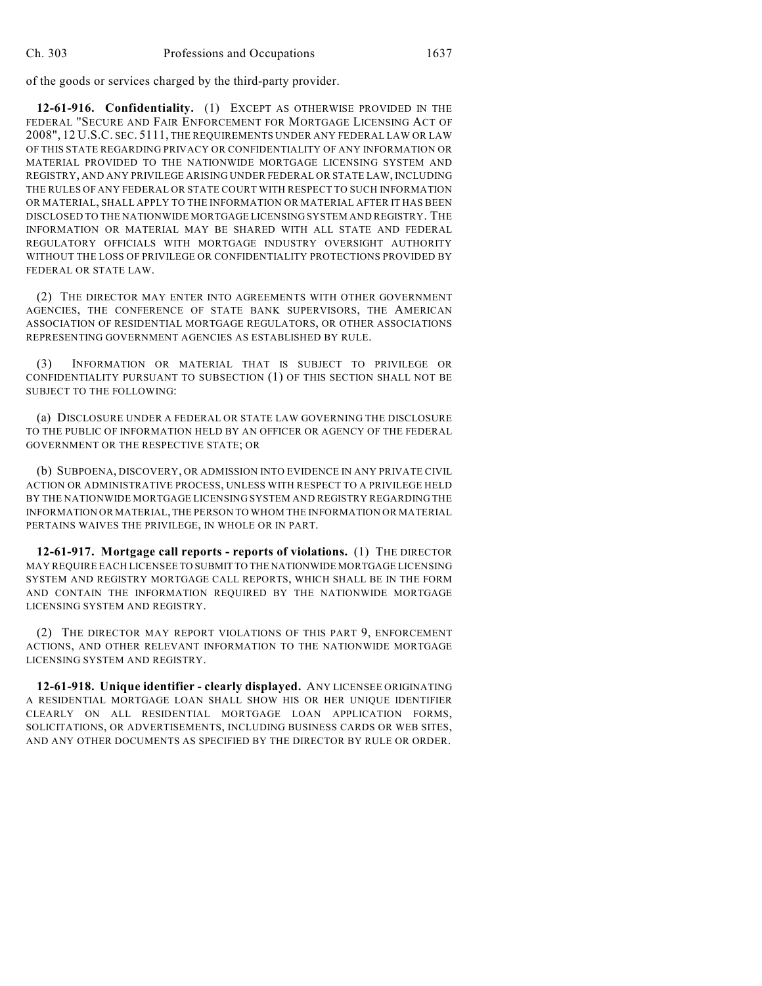of the goods or services charged by the third-party provider.

**12-61-916. Confidentiality.** (1) EXCEPT AS OTHERWISE PROVIDED IN THE FEDERAL "SECURE AND FAIR ENFORCEMENT FOR MORTGAGE LICENSING ACT OF 2008", 12 U.S.C. SEC. 5111, THE REQUIREMENTS UNDER ANY FEDERAL LAW OR LAW OF THIS STATE REGARDING PRIVACY OR CONFIDENTIALITY OF ANY INFORMATION OR MATERIAL PROVIDED TO THE NATIONWIDE MORTGAGE LICENSING SYSTEM AND REGISTRY, AND ANY PRIVILEGE ARISING UNDER FEDERAL OR STATE LAW, INCLUDING THE RULES OF ANY FEDERAL OR STATE COURT WITH RESPECT TO SUCH INFORMATION OR MATERIAL, SHALL APPLY TO THE INFORMATION OR MATERIAL AFTER IT HAS BEEN DISCLOSED TO THE NATIONWIDE MORTGAGE LICENSING SYSTEM AND REGISTRY. THE INFORMATION OR MATERIAL MAY BE SHARED WITH ALL STATE AND FEDERAL REGULATORY OFFICIALS WITH MORTGAGE INDUSTRY OVERSIGHT AUTHORITY WITHOUT THE LOSS OF PRIVILEGE OR CONFIDENTIALITY PROTECTIONS PROVIDED BY FEDERAL OR STATE LAW.

(2) THE DIRECTOR MAY ENTER INTO AGREEMENTS WITH OTHER GOVERNMENT AGENCIES, THE CONFERENCE OF STATE BANK SUPERVISORS, THE AMERICAN ASSOCIATION OF RESIDENTIAL MORTGAGE REGULATORS, OR OTHER ASSOCIATIONS REPRESENTING GOVERNMENT AGENCIES AS ESTABLISHED BY RULE.

(3) INFORMATION OR MATERIAL THAT IS SUBJECT TO PRIVILEGE OR CONFIDENTIALITY PURSUANT TO SUBSECTION (1) OF THIS SECTION SHALL NOT BE SUBJECT TO THE FOLLOWING:

(a) DISCLOSURE UNDER A FEDERAL OR STATE LAW GOVERNING THE DISCLOSURE TO THE PUBLIC OF INFORMATION HELD BY AN OFFICER OR AGENCY OF THE FEDERAL GOVERNMENT OR THE RESPECTIVE STATE; OR

(b) SUBPOENA, DISCOVERY, OR ADMISSION INTO EVIDENCE IN ANY PRIVATE CIVIL ACTION OR ADMINISTRATIVE PROCESS, UNLESS WITH RESPECT TO A PRIVILEGE HELD BY THE NATIONWIDE MORTGAGE LICENSING SYSTEM AND REGISTRY REGARDING THE INFORMATION OR MATERIAL, THE PERSON TO WHOM THE INFORMATION OR MATERIAL PERTAINS WAIVES THE PRIVILEGE, IN WHOLE OR IN PART.

**12-61-917. Mortgage call reports - reports of violations.** (1) THE DIRECTOR MAY REQUIRE EACH LICENSEE TO SUBMIT TO THE NATIONWIDE MORTGAGE LICENSING SYSTEM AND REGISTRY MORTGAGE CALL REPORTS, WHICH SHALL BE IN THE FORM AND CONTAIN THE INFORMATION REQUIRED BY THE NATIONWIDE MORTGAGE LICENSING SYSTEM AND REGISTRY.

(2) THE DIRECTOR MAY REPORT VIOLATIONS OF THIS PART 9, ENFORCEMENT ACTIONS, AND OTHER RELEVANT INFORMATION TO THE NATIONWIDE MORTGAGE LICENSING SYSTEM AND REGISTRY.

**12-61-918. Unique identifier - clearly displayed.** ANY LICENSEE ORIGINATING A RESIDENTIAL MORTGAGE LOAN SHALL SHOW HIS OR HER UNIQUE IDENTIFIER CLEARLY ON ALL RESIDENTIAL MORTGAGE LOAN APPLICATION FORMS, SOLICITATIONS, OR ADVERTISEMENTS, INCLUDING BUSINESS CARDS OR WEB SITES, AND ANY OTHER DOCUMENTS AS SPECIFIED BY THE DIRECTOR BY RULE OR ORDER.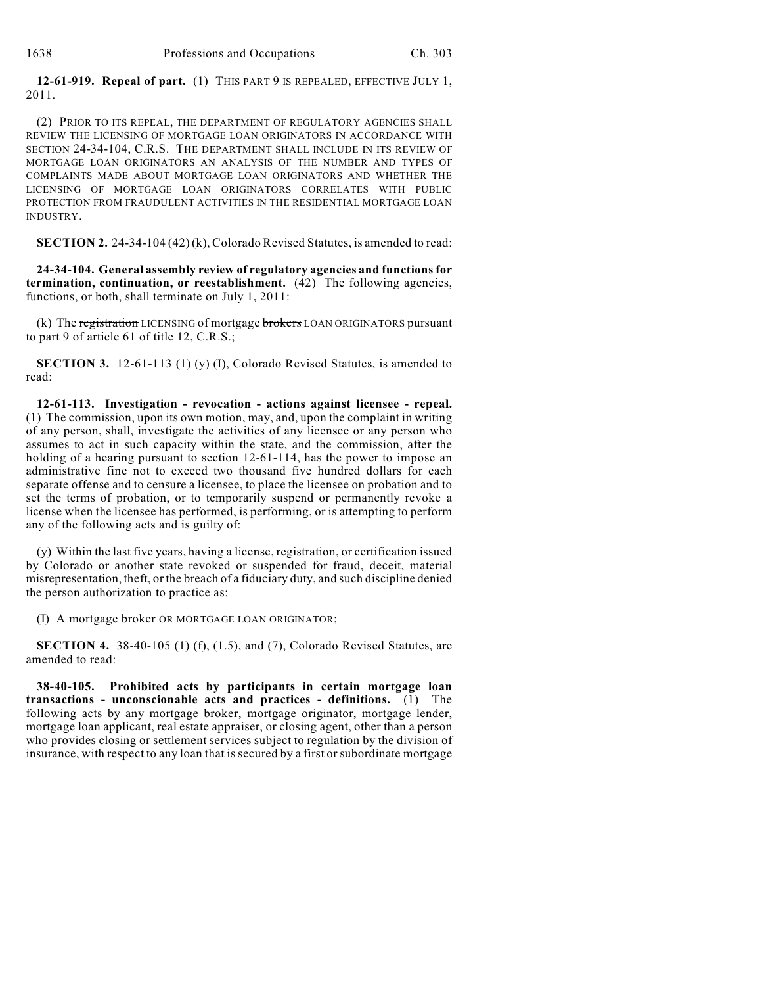**12-61-919. Repeal of part.** (1) THIS PART 9 IS REPEALED, EFFECTIVE JULY 1, 2011.

(2) PRIOR TO ITS REPEAL, THE DEPARTMENT OF REGULATORY AGENCIES SHALL REVIEW THE LICENSING OF MORTGAGE LOAN ORIGINATORS IN ACCORDANCE WITH SECTION 24-34-104, C.R.S. THE DEPARTMENT SHALL INCLUDE IN ITS REVIEW OF MORTGAGE LOAN ORIGINATORS AN ANALYSIS OF THE NUMBER AND TYPES OF COMPLAINTS MADE ABOUT MORTGAGE LOAN ORIGINATORS AND WHETHER THE LICENSING OF MORTGAGE LOAN ORIGINATORS CORRELATES WITH PUBLIC PROTECTION FROM FRAUDULENT ACTIVITIES IN THE RESIDENTIAL MORTGAGE LOAN INDUSTRY.

**SECTION 2.** 24-34-104 (42) (k), Colorado Revised Statutes, is amended to read:

**24-34-104. General assembly review of regulatory agencies and functions for termination, continuation, or reestablishment.** (42) The following agencies, functions, or both, shall terminate on July 1, 2011:

(k) The registration LICENSING of mortgage brokers LOAN ORIGINATORS pursuant to part 9 of article 61 of title 12, C.R.S.;

**SECTION 3.** 12-61-113 (1) (y) (I), Colorado Revised Statutes, is amended to read:

**12-61-113. Investigation - revocation - actions against licensee - repeal.** (1) The commission, upon its own motion, may, and, upon the complaint in writing of any person, shall, investigate the activities of any licensee or any person who assumes to act in such capacity within the state, and the commission, after the holding of a hearing pursuant to section 12-61-114, has the power to impose an administrative fine not to exceed two thousand five hundred dollars for each separate offense and to censure a licensee, to place the licensee on probation and to set the terms of probation, or to temporarily suspend or permanently revoke a license when the licensee has performed, is performing, or is attempting to perform any of the following acts and is guilty of:

(y) Within the last five years, having a license, registration, or certification issued by Colorado or another state revoked or suspended for fraud, deceit, material misrepresentation, theft, or the breach of a fiduciary duty, and such discipline denied the person authorization to practice as:

(I) A mortgage broker OR MORTGAGE LOAN ORIGINATOR;

**SECTION 4.** 38-40-105 (1) (f), (1.5), and (7), Colorado Revised Statutes, are amended to read:

**38-40-105. Prohibited acts by participants in certain mortgage loan transactions - unconscionable acts and practices - definitions.** (1) The following acts by any mortgage broker, mortgage originator, mortgage lender, mortgage loan applicant, real estate appraiser, or closing agent, other than a person who provides closing or settlement services subject to regulation by the division of insurance, with respect to any loan that is secured by a first or subordinate mortgage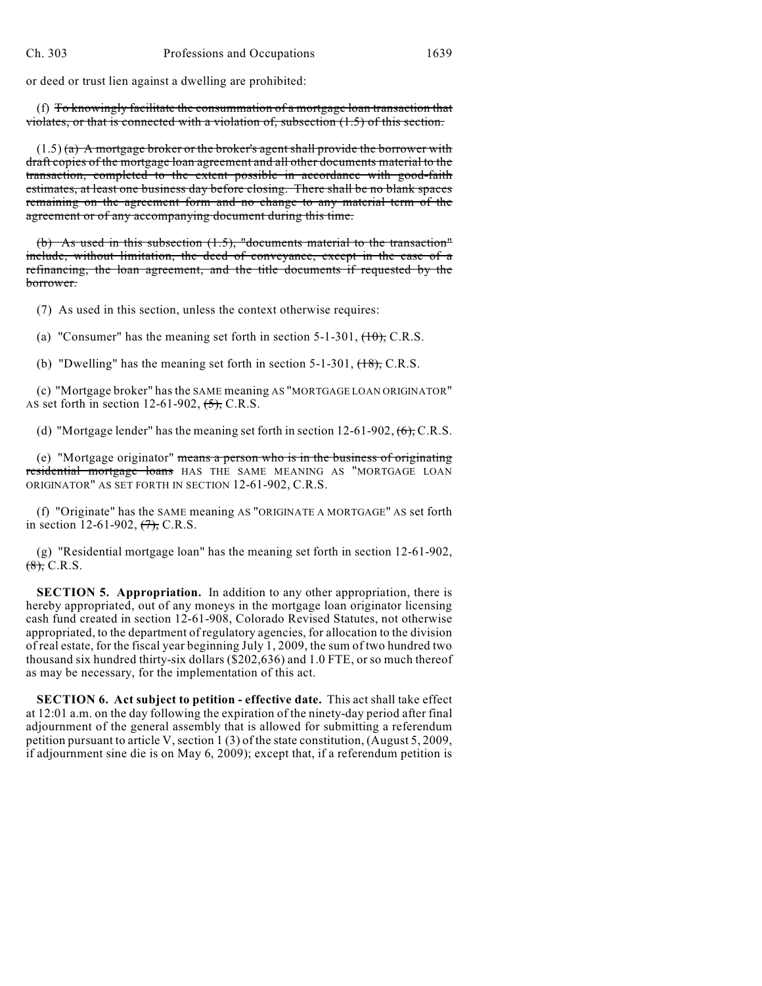or deed or trust lien against a dwelling are prohibited:

(f) To knowingly facilitate the consummation of a mortgage loan transaction that violates, or that is connected with a violation of, subsection (1.5) of this section.

 $(1.5)$  (a) A mortgage broker or the broker's agent shall provide the borrower with draft copies of the mortgage loan agreement and all other documents material to the transaction, completed to the extent possible in accordance with good-faith estimates, at least one business day before closing. There shall be no blank spaces remaining on the agreement form and no change to any material term of the agreement or of any accompanying document during this time.

(b) As used in this subsection (1.5), "documents material to the transaction" include, without limitation, the deed of conveyance, except in the case of a refinancing, the loan agreement, and the title documents if requested by the borrower.

(7) As used in this section, unless the context otherwise requires:

(a) "Consumer" has the meaning set forth in section  $5-1-301$ ,  $(+0)$ , C.R.S.

(b) "Dwelling" has the meaning set forth in section  $5-1-301$ ,  $(18)$ , C.R.S.

(c) "Mortgage broker" has the SAME meaning AS "MORTGAGE LOAN ORIGINATOR" AS set forth in section 12-61-902,  $(5)$ , C.R.S.

(d) "Mortgage lender" has the meaning set forth in section 12-61-902,  $\left(\frac{1}{6}\right)$ , C.R.S.

(e) "Mortgage originator" means a person who is in the business of originating residential mortgage loans HAS THE SAME MEANING AS "MORTGAGE LOAN ORIGINATOR" AS SET FORTH IN SECTION 12-61-902, C.R.S.

(f) "Originate" has the SAME meaning AS "ORIGINATE A MORTGAGE" AS set forth in section 12-61-902,  $(7)$ , C.R.S.

(g) "Residential mortgage loan" has the meaning set forth in section 12-61-902,  $(8)$ , C.R.S.

**SECTION 5. Appropriation.** In addition to any other appropriation, there is hereby appropriated, out of any moneys in the mortgage loan originator licensing cash fund created in section 12-61-908, Colorado Revised Statutes, not otherwise appropriated, to the department of regulatory agencies, for allocation to the division of real estate, for the fiscal year beginning July 1, 2009, the sum of two hundred two thousand six hundred thirty-six dollars (\$202,636) and 1.0 FTE, or so much thereof as may be necessary, for the implementation of this act.

**SECTION 6. Act subject to petition - effective date.** This act shall take effect at 12:01 a.m. on the day following the expiration of the ninety-day period after final adjournment of the general assembly that is allowed for submitting a referendum petition pursuant to article V, section 1 (3) of the state constitution, (August 5, 2009, if adjournment sine die is on May 6, 2009); except that, if a referendum petition is